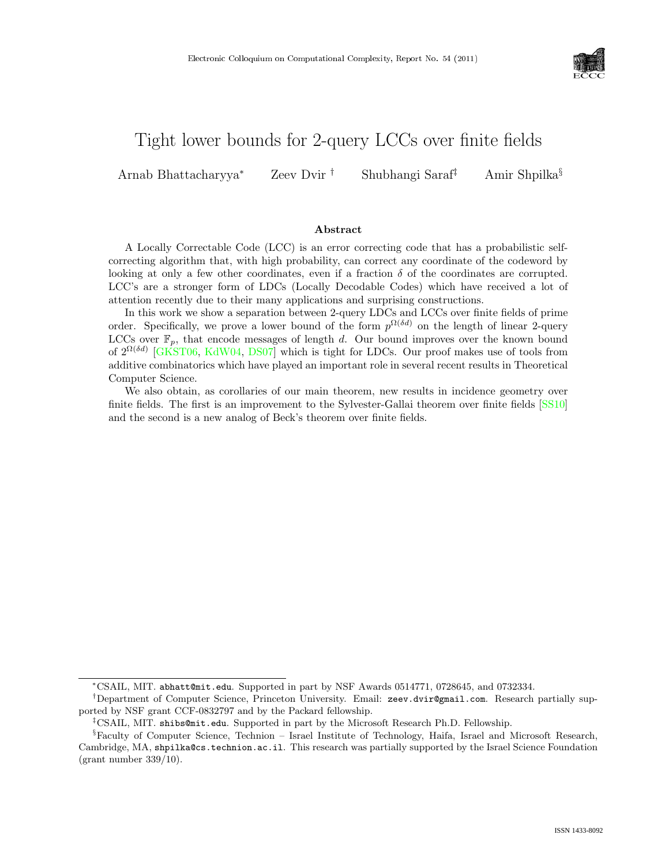

# Tight lower bounds for 2-query LCCs over finite fields

Arnab Bhattacharyya<sup>∗</sup> Zeev Dvir † Shubhangi Saraf‡ Amir Shpilka§

#### Abstract

A Locally Correctable Code (LCC) is an error correcting code that has a probabilistic selfcorrecting algorithm that, with high probability, can correct any coordinate of the codeword by looking at only a few other coordinates, even if a fraction  $\delta$  of the coordinates are corrupted. LCC's are a stronger form of LDCs (Locally Decodable Codes) which have received a lot of attention recently due to their many applications and surprising constructions.

In this work we show a separation between 2-query LDCs and LCCs over finite fields of prime order. Specifically, we prove a lower bound of the form  $p^{\Omega(\delta d)}$  on the length of linear 2-query LCCs over  $\mathbb{F}_n$ , that encode messages of length d. Our bound improves over the known bound of  $2^{\Omega(\delta d)}$  [\[GKST06,](#page--1-0) [KdW04,](#page--1-1) [DS07\]](#page--1-2) which is tight for LDCs. Our proof makes use of tools from additive combinatorics which have played an important role in several recent results in Theoretical Computer Science.

We also obtain, as corollaries of our main theorem, new results in incidence geometry over finite fields. The first is an improvement to the Sylvester-Gallai theorem over finite fields [\[SS10\]](#page--1-3) and the second is a new analog of Beck's theorem over finite fields.

<sup>∗</sup>CSAIL, MIT. abhatt@mit.edu. Supported in part by NSF Awards 0514771, 0728645, and 0732334.

<sup>†</sup>Department of Computer Science, Princeton University. Email: zeev.dvir@gmail.com. Research partially supported by NSF grant CCF-0832797 and by the Packard fellowship.

<sup>‡</sup>CSAIL, MIT. shibs@mit.edu. Supported in part by the Microsoft Research Ph.D. Fellowship.

<sup>§</sup>Faculty of Computer Science, Technion – Israel Institute of Technology, Haifa, Israel and Microsoft Research, Cambridge, MA, shpilka@cs.technion.ac.il. This research was partially supported by the Israel Science Foundation  $\frac{\text{gram}}{\text{Number }339/10}$ .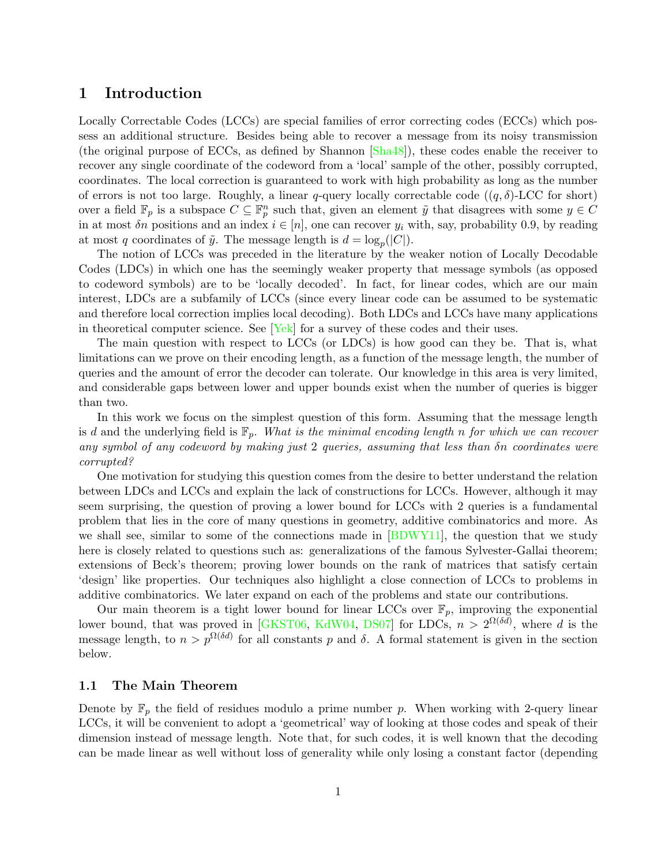### 1 Introduction

Locally Correctable Codes (LCCs) are special families of error correcting codes (ECCs) which possess an additional structure. Besides being able to recover a message from its noisy transmission (the original purpose of ECCs, as defined by Shannon [\[Sha48\]](#page--1-4)), these codes enable the receiver to recover any single coordinate of the codeword from a 'local' sample of the other, possibly corrupted, coordinates. The local correction is guaranteed to work with high probability as long as the number of errors is not too large. Roughly, a linear q-query locally correctable code  $((q, \delta)$ -LCC for short) over a field  $\mathbb{F}_p$  is a subspace  $C \subseteq \mathbb{F}_p^n$  such that, given an element  $\tilde{y}$  that disagrees with some  $y \in C$ in at most  $\delta n$  positions and an index  $i \in [n]$ , one can recover  $y_i$  with, say, probability 0.9, by reading at most q coordinates of  $\tilde{y}$ . The message length is  $d = \log_p(|C|)$ .

The notion of LCCs was preceded in the literature by the weaker notion of Locally Decodable Codes (LDCs) in which one has the seemingly weaker property that message symbols (as opposed to codeword symbols) are to be 'locally decoded'. In fact, for linear codes, which are our main interest, LDCs are a subfamily of LCCs (since every linear code can be assumed to be systematic and therefore local correction implies local decoding). Both LDCs and LCCs have many applications in theoretical computer science. See  $Yek$  for a survey of these codes and their uses.

The main question with respect to LCCs (or LDCs) is how good can they be. That is, what limitations can we prove on their encoding length, as a function of the message length, the number of queries and the amount of error the decoder can tolerate. Our knowledge in this area is very limited, and considerable gaps between lower and upper bounds exist when the number of queries is bigger than two.

In this work we focus on the simplest question of this form. Assuming that the message length is d and the underlying field is  $\mathbb{F}_p$ . What is the minimal encoding length n for which we can recover any symbol of any codeword by making just 2 queries, assuming that less than δn coordinates were corrupted?

One motivation for studying this question comes from the desire to better understand the relation between LDCs and LCCs and explain the lack of constructions for LCCs. However, although it may seem surprising, the question of proving a lower bound for LCCs with 2 queries is a fundamental problem that lies in the core of many questions in geometry, additive combinatorics and more. As we shall see, similar to some of the connections made in [\[BDWY11\]](#page--1-6), the question that we study here is closely related to questions such as: generalizations of the famous Sylvester-Gallai theorem; extensions of Beck's theorem; proving lower bounds on the rank of matrices that satisfy certain 'design' like properties. Our techniques also highlight a close connection of LCCs to problems in additive combinatorics. We later expand on each of the problems and state our contributions.

Our main theorem is a tight lower bound for linear LCCs over  $\mathbb{F}_p$ , improving the exponential lower bound, that was proved in [\[GKST06,](#page--1-0) [KdW04,](#page--1-1) [DS07\]](#page--1-2) for LDCs,  $n > 2^{\Omega(\delta d)}$ , where d is the message length, to  $n > p^{\Omega(\delta d)}$  for all constants p and  $\delta$ . A formal statement is given in the section below.

#### 1.1 The Main Theorem

Denote by  $\mathbb{F}_p$  the field of residues modulo a prime number p. When working with 2-query linear LCCs, it will be convenient to adopt a 'geometrical' way of looking at those codes and speak of their dimension instead of message length. Note that, for such codes, it is well known that the decoding can be made linear as well without loss of generality while only losing a constant factor (depending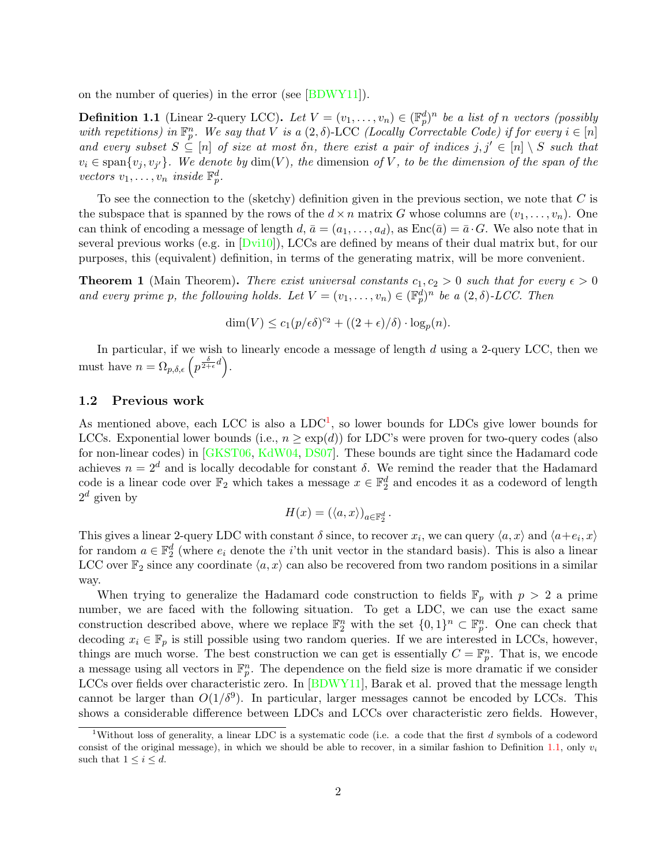on the number of queries) in the error (see [\[BDWY11\]](#page--1-6)).

<span id="page-2-1"></span>**Definition 1.1** (Linear 2-query LCC). Let  $V = (v_1, \ldots, v_n) \in (\mathbb{F}_p^d)^n$  be a list of n vectors (possibly with repetitions) in  $\mathbb{F}_p^n$ . We say that V is a  $(2,\delta)$ -LCC (Locally Correctable Code) if for every  $i \in [n]$ and every subset  $S \subseteq [n]$  of size at most  $\delta n$ , there exist a pair of indices  $j, j' \in [n] \setminus S$  such that  $v_i \in \text{span}\{v_j, v_{j'}\}.$  We denote by  $\dim(V)$ , the dimension of V, to be the dimension of the span of the vectors  $v_1, \ldots, v_n$  inside  $\mathbb{F}_p^d$ .

To see the connection to the (sketchy) definition given in the previous section, we note that  $C$  is the subspace that is spanned by the rows of the  $d \times n$  matrix G whose columns are  $(v_1, \ldots, v_n)$ . One can think of encoding a message of length d,  $\bar{a} = (a_1, \ldots, a_d)$ , as  $Enc(\bar{a}) = \bar{a} \cdot G$ . We also note that in several previous works (e.g. in  $Dvi10$ ), LCCs are defined by means of their dual matrix but, for our purposes, this (equivalent) definition, in terms of the generating matrix, will be more convenient.

<span id="page-2-2"></span>**Theorem 1** (Main Theorem). There exist universal constants  $c_1, c_2 > 0$  such that for every  $\epsilon > 0$ and every prime p, the following holds. Let  $V = (v_1, \ldots, v_n) \in (\mathbb{F}_p^d)^n$  be a  $(2, \delta)$ -LCC. Then

$$
\dim(V) \le c_1 (p/\epsilon \delta)^{c_2} + ((2+\epsilon)/\delta) \cdot \log_p(n).
$$

In particular, if we wish to linearly encode a message of length  $d$  using a 2-query LCC, then we must have  $n = \Omega_{p,\delta,\epsilon} \left( p^{\frac{\delta}{2+\epsilon}d} \right)$ .

#### 1.2 Previous work

As mentioned above, each LCC is also a  $LDC<sup>1</sup>$  $LDC<sup>1</sup>$  $LDC<sup>1</sup>$ , so lower bounds for LDCs give lower bounds for LCCs. Exponential lower bounds (i.e.,  $n \geq \exp(d)$ ) for LDC's were proven for two-query codes (also for non-linear codes) in [\[GKST06,](#page--1-0) [KdW04,](#page--1-1) [DS07\]](#page--1-2). These bounds are tight since the Hadamard code achieves  $n = 2^d$  and is locally decodable for constant  $\delta$ . We remind the reader that the Hadamard code is a linear code over  $\mathbb{F}_2$  which takes a message  $x \in \mathbb{F}_2^d$  and encodes it as a codeword of length  $2^d$  given by

$$
H(x) = (\langle a, x \rangle)_{a \in \mathbb{F}_2^d}.
$$

This gives a linear 2-query LDC with constant  $\delta$  since, to recover  $x_i$ , we can query  $\langle a, x \rangle$  and  $\langle a+e_i, x \rangle$ for random  $a \in \mathbb{F}_2^d$  (where  $e_i$  denote the *i*'th unit vector in the standard basis). This is also a linear LCC over  $\mathbb{F}_2$  since any coordinate  $\langle a, x \rangle$  can also be recovered from two random positions in a similar way.

When trying to generalize the Hadamard code construction to fields  $\mathbb{F}_p$  with  $p > 2$  a prime number, we are faced with the following situation. To get a LDC, we can use the exact same construction described above, where we replace  $\mathbb{F}_2^n$  with the set  $\{0,1\}^n \subset \mathbb{F}_p^n$ . One can check that decoding  $x_i \in \mathbb{F}_p$  is still possible using two random queries. If we are interested in LCCs, however, things are much worse. The best construction we can get is essentially  $C = \mathbb{F}_p^n$ . That is, we encode a message using all vectors in  $\mathbb{F}_p^n$ . The dependence on the field size is more dramatic if we consider LCCs over fields over characteristic zero. In [\[BDWY11\]](#page--1-6), Barak et al. proved that the message length cannot be larger than  $O(1/\delta^9)$ . In particular, larger messages cannot be encoded by LCCs. This shows a considerable difference between LDCs and LCCs over characteristic zero fields. However,

<span id="page-2-0"></span><sup>&</sup>lt;sup>1</sup>Without loss of generality, a linear LDC is a systematic code (i.e. a code that the first d symbols of a codeword consist of the original message), in which we should be able to recover, in a similar fashion to Definition [1.1,](#page-2-1) only  $v_i$ such that  $1 \leq i \leq d$ .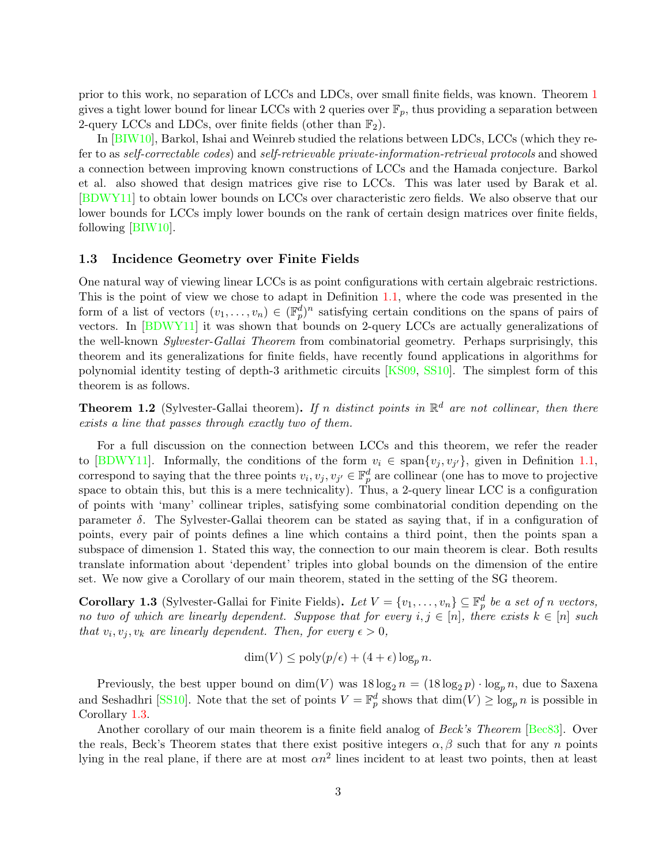prior to this work, no separation of LCCs and LDCs, over small finite fields, was known. Theorem [1](#page-2-2) gives a tight lower bound for linear LCCs with 2 queries over  $\mathbb{F}_p$ , thus providing a separation between 2-query LCCs and LDCs, over finite fields (other than  $\mathbb{F}_2$ ).

In [\[BIW10\]](#page--1-8), Barkol, Ishai and Weinreb studied the relations between LDCs, LCCs (which they refer to as self-correctable codes) and self-retrievable private-information-retrieval protocols and showed a connection between improving known constructions of LCCs and the Hamada conjecture. Barkol et al. also showed that design matrices give rise to LCCs. This was later used by Barak et al. [\[BDWY11\]](#page--1-6) to obtain lower bounds on LCCs over characteristic zero fields. We also observe that our lower bounds for LCCs imply lower bounds on the rank of certain design matrices over finite fields, following [\[BIW10\]](#page--1-8).

#### 1.3 Incidence Geometry over Finite Fields

One natural way of viewing linear LCCs is as point configurations with certain algebraic restrictions. This is the point of view we chose to adapt in Definition [1.1,](#page-2-1) where the code was presented in the form of a list of vectors  $(v_1, \ldots, v_n) \in (\mathbb{F}_p^d)^n$  satisfying certain conditions on the spans of pairs of vectors. In [\[BDWY11\]](#page--1-6) it was shown that bounds on 2-query LCCs are actually generalizations of the well-known Sylvester-Gallai Theorem from combinatorial geometry. Perhaps surprisingly, this theorem and its generalizations for finite fields, have recently found applications in algorithms for polynomial identity testing of depth-3 arithmetic circuits [\[KS09,](#page--1-9) [SS10\]](#page--1-3). The simplest form of this theorem is as follows.

**Theorem 1.2** (Sylvester-Gallai theorem). If n distinct points in  $\mathbb{R}^d$  are not collinear, then there exists a line that passes through exactly two of them.

For a full discussion on the connection between LCCs and this theorem, we refer the reader to [\[BDWY11\]](#page--1-6). Informally, the conditions of the form  $v_i \in \text{span}\{v_j, v_{j'}\}$ , given in Definition [1.1,](#page-2-1) correspond to saying that the three points  $v_i, v_j, v_{j'} \in \mathbb{F}_p^d$  are collinear (one has to move to projective space to obtain this, but this is a mere technicality). Thus, a 2-query linear LCC is a configuration of points with 'many' collinear triples, satisfying some combinatorial condition depending on the parameter  $\delta$ . The Sylvester-Gallai theorem can be stated as saying that, if in a configuration of points, every pair of points defines a line which contains a third point, then the points span a subspace of dimension 1. Stated this way, the connection to our main theorem is clear. Both results translate information about 'dependent' triples into global bounds on the dimension of the entire set. We now give a Corollary of our main theorem, stated in the setting of the SG theorem.

<span id="page-3-0"></span>**Corollary 1.3** (Sylvester-Gallai for Finite Fields). Let  $V = \{v_1, \ldots, v_n\} \subseteq \mathbb{F}_p^d$  be a set of n vectors, no two of which are linearly dependent. Suppose that for every  $i, j \in [n]$ , there exists  $k \in [n]$  such that  $v_i, v_j, v_k$  are linearly dependent. Then, for every  $\epsilon > 0$ ,

$$
\dim(V) \le \text{poly}(p/\epsilon) + (4+\epsilon)\log_p n.
$$

Previously, the best upper bound on  $\dim(V)$  was  $18 \log_2 n = (18 \log_2 n) \cdot \log_p n$ , due to Saxena and Seshadhri [\[SS10\]](#page--1-3). Note that the set of points  $V = \mathbb{F}_p^d$  shows that  $\dim(V) \ge \log_p n$  is possible in Corollary [1.3.](#page-3-0)

Another corollary of our main theorem is a finite field analog of *Beck's Theorem* [\[Bec83\]](#page--1-10). Over the reals, Beck's Theorem states that there exist positive integers  $\alpha, \beta$  such that for any n points lying in the real plane, if there are at most  $\alpha n^2$  lines incident to at least two points, then at least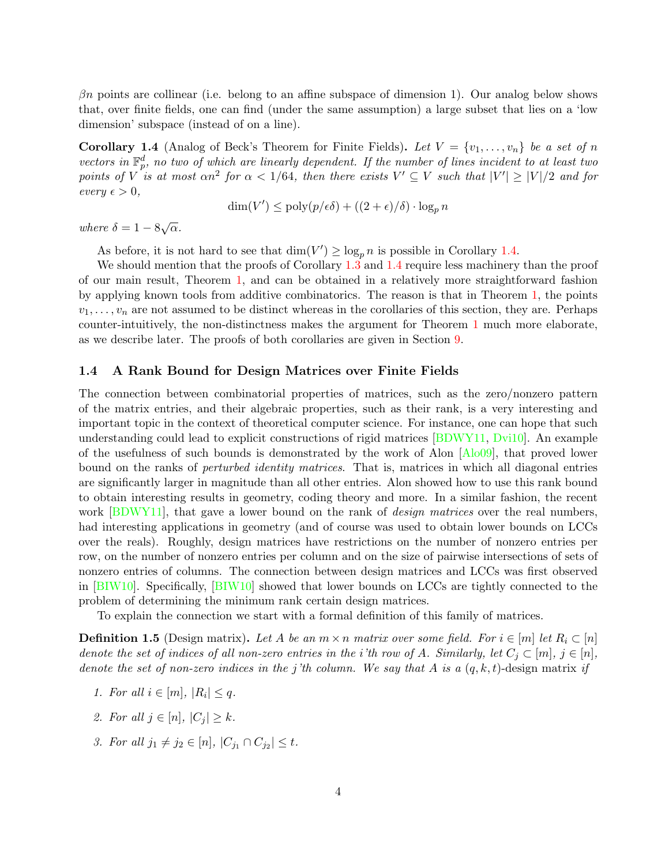$\beta$ n points are collinear (i.e. belong to an affine subspace of dimension 1). Our analog below shows that, over finite fields, one can find (under the same assumption) a large subset that lies on a 'low dimension' subspace (instead of on a line).

<span id="page-4-0"></span>**Corollary 1.4** (Analog of Beck's Theorem for Finite Fields). Let  $V = \{v_1, \ldots, v_n\}$  be a set of n vectors in  $\mathbb{F}_p^d$ , no two of which are linearly dependent. If the number of lines incident to at least two points of V is at most  $\alpha n^2$  for  $\alpha < 1/64$ , then there exists  $V' \subseteq V$  such that  $|V'| \ge |V|/2$  and for  $every \in > 0,$ 

$$
\dim(V') \le \text{poly}(p/\epsilon\delta) + ((2+\epsilon)/\delta) \cdot \log_p n
$$

where  $\delta = 1 - 8\sqrt{\alpha}$ .

As before, it is not hard to see that  $\dim(V') \ge \log_p n$  is possible in Corollary [1.4.](#page-4-0)

We should mention that the proofs of Corollary [1.3](#page-3-0) and [1.4](#page-4-0) require less machinery than the proof of our main result, Theorem [1,](#page-2-2) and can be obtained in a relatively more straightforward fashion by applying known tools from additive combinatorics. The reason is that in Theorem [1,](#page-2-2) the points  $v_1, \ldots, v_n$  are not assumed to be distinct whereas in the corollaries of this section, they are. Perhaps counter-intuitively, the non-distinctness makes the argument for Theorem [1](#page-2-2) much more elaborate, as we describe later. The proofs of both corollaries are given in Section [9.](#page-23-0)

#### 1.4 A Rank Bound for Design Matrices over Finite Fields

The connection between combinatorial properties of matrices, such as the zero/nonzero pattern of the matrix entries, and their algebraic properties, such as their rank, is a very interesting and important topic in the context of theoretical computer science. For instance, one can hope that such understanding could lead to explicit constructions of rigid matrices [\[BDWY11,](#page--1-6) [Dvi10\]](#page--1-7). An example of the usefulness of such bounds is demonstrated by the work of Alon  $[A\text{lo}09]$ , that proved lower bound on the ranks of *perturbed identity matrices*. That is, matrices in which all diagonal entries are significantly larger in magnitude than all other entries. Alon showed how to use this rank bound to obtain interesting results in geometry, coding theory and more. In a similar fashion, the recent work [\[BDWY11\]](#page--1-6), that gave a lower bound on the rank of *design matrices* over the real numbers, had interesting applications in geometry (and of course was used to obtain lower bounds on LCCs over the reals). Roughly, design matrices have restrictions on the number of nonzero entries per row, on the number of nonzero entries per column and on the size of pairwise intersections of sets of nonzero entries of columns. The connection between design matrices and LCCs was first observed in [\[BIW10\]](#page--1-8). Specifically, [\[BIW10\]](#page--1-8) showed that lower bounds on LCCs are tightly connected to the problem of determining the minimum rank certain design matrices.

To explain the connection we start with a formal definition of this family of matrices.

**Definition 1.5** (Design matrix). Let A be an  $m \times n$  matrix over some field. For  $i \in [m]$  let  $R_i \subset [n]$ denote the set of indices of all non-zero entries in the i'th row of A. Similarly, let  $C_j \subset [m], j \in [n]$ , denote the set of non-zero indices in the j'th column. We say that A is a  $(q, k, t)$ -design matrix if

- 1. For all  $i \in [m]$ ,  $|R_i| \leq q$ .
- 2. For all  $j \in [n]$ ,  $|C_j| \geq k$ .
- 3. For all  $j_1 \neq j_2 \in [n]$ ,  $|C_{j_1} \cap C_{j_2}| \leq t$ .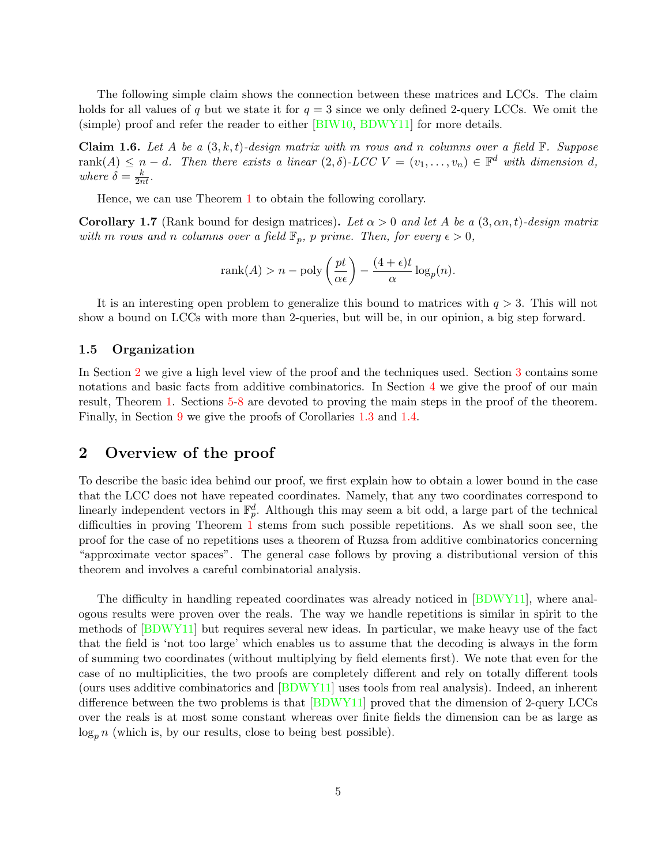The following simple claim shows the connection between these matrices and LCCs. The claim holds for all values of q but we state it for  $q = 3$  since we only defined 2-query LCCs. We omit the (simple) proof and refer the reader to either [\[BIW10,](#page--1-8) [BDWY11\]](#page--1-6) for more details.

**Claim 1.6.** Let A be a  $(3, k, t)$ -design matrix with m rows and n columns over a field  $\mathbb{F}$ . Suppose rank $(A) \leq n-d$ . Then there exists a linear  $(2, \delta)$ -LCC  $V = (v_1, \ldots, v_n) \in \mathbb{F}^d$  with dimension d, where  $\delta = \frac{k}{2nt}$ .

Hence, we can use Theorem [1](#page-2-2) to obtain the following corollary.

**Corollary 1.7** (Rank bound for design matrices). Let  $\alpha > 0$  and let A be a  $(3, \alpha n, t)$ -design matrix with m rows and n columns over a field  $\mathbb{F}_p$ , p prime. Then, for every  $\epsilon > 0$ ,

$$
rank(A) > n - poly\left(\frac{pt}{\alpha \epsilon}\right) - \frac{(4+\epsilon)t}{\alpha} \log_p(n).
$$

It is an interesting open problem to generalize this bound to matrices with  $q > 3$ . This will not show a bound on LCCs with more than 2-queries, but will be, in our opinion, a big step forward.

#### 1.5 Organization

In Section [2](#page-5-0) we give a high level view of the proof and the techniques used. Section [3](#page-8-0) contains some notations and basic facts from additive combinatorics. In Section [4](#page-9-0) we give the proof of our main result, Theorem [1.](#page-2-2) Sections [5-](#page-11-0)[8](#page-22-0) are devoted to proving the main steps in the proof of the theorem. Finally, in Section [9](#page-23-0) we give the proofs of Corollaries [1.3](#page-3-0) and [1.4.](#page-4-0)

### <span id="page-5-0"></span>2 Overview of the proof

To describe the basic idea behind our proof, we first explain how to obtain a lower bound in the case that the LCC does not have repeated coordinates. Namely, that any two coordinates correspond to linearly independent vectors in  $\mathbb{F}_p^d$ . Although this may seem a bit odd, a large part of the technical difficulties in proving Theorem [1](#page-2-2) stems from such possible repetitions. As we shall soon see, the proof for the case of no repetitions uses a theorem of Ruzsa from additive combinatorics concerning "approximate vector spaces". The general case follows by proving a distributional version of this theorem and involves a careful combinatorial analysis.

The difficulty in handling repeated coordinates was already noticed in [\[BDWY11\]](#page--1-6), where analogous results were proven over the reals. The way we handle repetitions is similar in spirit to the methods of [\[BDWY11\]](#page--1-6) but requires several new ideas. In particular, we make heavy use of the fact that the field is 'not too large' which enables us to assume that the decoding is always in the form of summing two coordinates (without multiplying by field elements first). We note that even for the case of no multiplicities, the two proofs are completely different and rely on totally different tools (ours uses additive combinatorics and [\[BDWY11\]](#page--1-6) uses tools from real analysis). Indeed, an inherent difference between the two problems is that [\[BDWY11\]](#page--1-6) proved that the dimension of 2-query LCCs over the reals is at most some constant whereas over finite fields the dimension can be as large as  $\log_n n$  (which is, by our results, close to being best possible).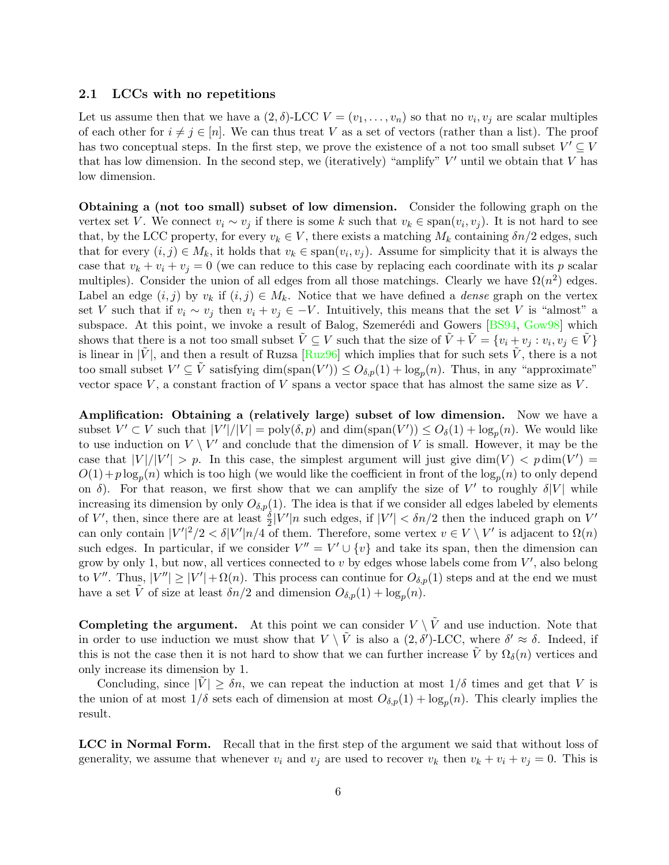#### <span id="page-6-0"></span>2.1 LCCs with no repetitions

Let us assume then that we have a  $(2, \delta)$ -LCC  $V = (v_1, \ldots, v_n)$  so that no  $v_i, v_j$  are scalar multiples of each other for  $i \neq j \in [n]$ . We can thus treat V as a set of vectors (rather than a list). The proof has two conceptual steps. In the first step, we prove the existence of a not too small subset  $V' \subseteq V$ that has low dimension. In the second step, we (iteratively) "amplify"  $V'$  until we obtain that  $V$  has low dimension.

Obtaining a (not too small) subset of low dimension. Consider the following graph on the vertex set V. We connect  $v_i \sim v_j$  if there is some k such that  $v_k \in \text{span}(v_i, v_j)$ . It is not hard to see that, by the LCC property, for every  $v_k \in V$ , there exists a matching  $M_k$  containing  $\delta n/2$  edges, such that for every  $(i, j) \in M_k$ , it holds that  $v_k \in \text{span}(v_i, v_j)$ . Assume for simplicity that it is always the case that  $v_k + v_i + v_j = 0$  (we can reduce to this case by replacing each coordinate with its p scalar multiples). Consider the union of all edges from all those matchings. Clearly we have  $\Omega(n^2)$  edges. Label an edge  $(i, j)$  by  $v_k$  if  $(i, j) \in M_k$ . Notice that we have defined a *dense* graph on the vertex set V such that if  $v_i \sim v_j$  then  $v_i + v_j \in -V$ . Intuitively, this means that the set V is "almost" a subspace. At this point, we invoke a result of Balog, Szemerédi and Gowers  $[BS94, Gow98]$  $[BS94, Gow98]$  $[BS94, Gow98]$  which shows that there is a not too small subset  $\tilde{V} \subseteq V$  such that the size of  $\tilde{V} + \tilde{V} = \{v_i + v_j : v_i, v_j \in \tilde{V}\}\$ is linear in  $|\tilde{V}|$ , and then a result of Ruzsa [\[Ruz96\]](#page--1-13) which implies that for such sets  $\tilde{V}$ , there is a not too small subset  $V' \subseteq \tilde{V}$  satisfying  $\dim(\text{span}(V')) \leq O_{\delta,p}(1) + \log_p(n)$ . Thus, in any "approximate" vector space  $V$ , a constant fraction of  $V$  spans a vector space that has almost the same size as  $V$ .

Amplification: Obtaining a (relatively large) subset of low dimension. Now we have a subset  $V' \subset V$  such that  $|V'|/|V| = \text{poly}(\delta, p)$  and  $\dim(\text{span}(V')) \leq O_{\delta}(1) + \log_p(n)$ . We would like to use induction on  $V \setminus V'$  and conclude that the dimension of V is small. However, it may be the case that  $|V|/|V'| > p$ . In this case, the simplest argument will just give dim $(V) < p \dim(V') =$  $O(1) + p \log_p(n)$  which is too high (we would like the coefficient in front of the  $\log_p(n)$  to only depend on  $\delta$ ). For that reason, we first show that we can amplify the size of V' to roughly  $\delta|V|$  while increasing its dimension by only  $O_{\delta,p}(1)$ . The idea is that if we consider all edges labeled by elements of V', then, since there are at least  $\frac{\delta}{2}|V'|n$  such edges, if  $|V'| < \delta n/2$  then the induced graph on V' can only contain  $|V'|^2/2 < \delta |V'|n/4$  of them. Therefore, some vertex  $v \in V \setminus V'$  is adjacent to  $\Omega(n)$ such edges. In particular, if we consider  $V'' = V' \cup \{v\}$  and take its span, then the dimension can grow by only 1, but now, all vertices connected to  $v$  by edges whose labels come from  $V'$ , also belong to V''. Thus,  $|V''| \ge |V'| + \Omega(n)$ . This process can continue for  $O_{\delta,p}(1)$  steps and at the end we must have a set  $\tilde{V}$  of size at least  $\delta n/2$  and dimension  $O_{\delta,p}(1) + \log_p(n)$ .

**Completing the argument.** At this point we can consider  $V \setminus \tilde{V}$  and use induction. Note that in order to use induction we must show that  $V \setminus \tilde{V}$  is also a  $(2,\delta')$ -LCC, where  $\delta' \approx \delta$ . Indeed, if this is not the case then it is not hard to show that we can further increase  $\tilde{V}$  by  $\Omega_{\delta}(n)$  vertices and only increase its dimension by 1.

Concluding, since  $|V| \geq \delta n$ , we can repeat the induction at most  $1/\delta$  times and get that V is the union of at most  $1/\delta$  sets each of dimension at most  $O_{\delta,p}(1) + \log_p(n)$ . This clearly implies the result.

LCC in Normal Form. Recall that in the first step of the argument we said that without loss of generality, we assume that whenever  $v_i$  and  $v_j$  are used to recover  $v_k$  then  $v_k + v_i + v_j = 0$ . This is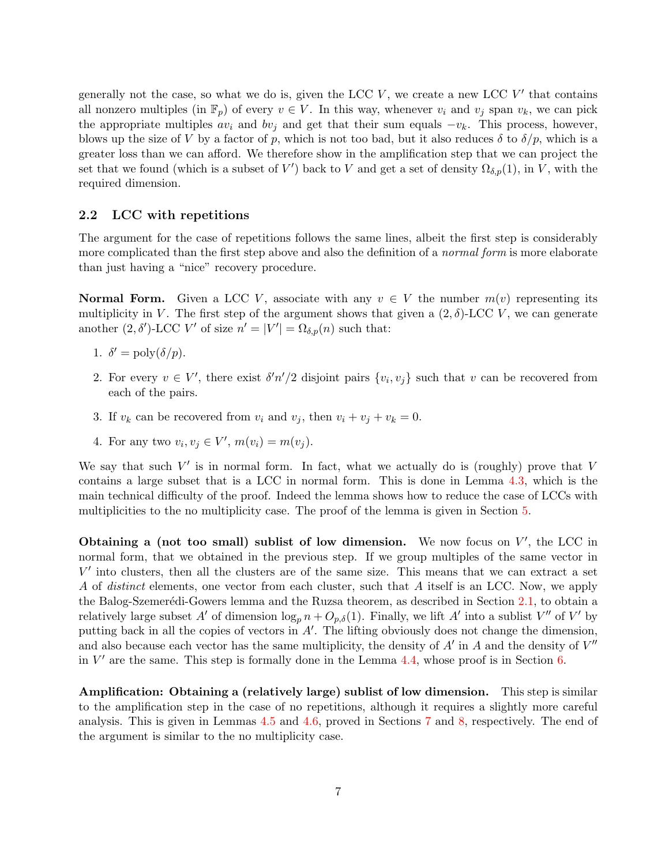generally not the case, so what we do is, given the LCC  $V$ , we create a new LCC  $V'$  that contains all nonzero multiples (in  $\mathbb{F}_p$ ) of every  $v \in V$ . In this way, whenever  $v_i$  and  $v_j$  span  $v_k$ , we can pick the appropriate multiples  $av_i$  and  $bv_j$  and get that their sum equals  $-v_k$ . This process, however, blows up the size of V by a factor of p, which is not too bad, but it also reduces  $\delta$  to  $\delta/p$ , which is a greater loss than we can afford. We therefore show in the amplification step that we can project the set that we found (which is a subset of V') back to V and get a set of density  $\Omega_{\delta,p}(1)$ , in V, with the required dimension.

#### <span id="page-7-0"></span>2.2 LCC with repetitions

The argument for the case of repetitions follows the same lines, albeit the first step is considerably more complicated than the first step above and also the definition of a *normal form* is more elaborate than just having a "nice" recovery procedure.

**Normal Form.** Given a LCC V, associate with any  $v \in V$  the number  $m(v)$  representing its multiplicity in V. The first step of the argument shows that given a  $(2, \delta)$ -LCC V, we can generate another  $(2, \delta')$ -LCC V' of size  $n' = |V'| = \Omega_{\delta, p}(n)$  such that:

- 1.  $\delta' = \text{poly}(\delta/p)$ .
- 2. For every  $v \in V'$ , there exist  $\delta' n'/2$  disjoint pairs  $\{v_i, v_j\}$  such that v can be recovered from each of the pairs.
- 3. If  $v_k$  can be recovered from  $v_i$  and  $v_j$ , then  $v_i + v_j + v_k = 0$ .
- 4. For any two  $v_i, v_j \in V', m(v_i) = m(v_j)$ .

We say that such  $V'$  is in normal form. In fact, what we actually do is (roughly) prove that V contains a large subset that is a LCC in normal form. This is done in Lemma [4.3,](#page-10-0) which is the main technical difficulty of the proof. Indeed the lemma shows how to reduce the case of LCCs with multiplicities to the no multiplicity case. The proof of the lemma is given in Section [5.](#page-11-0)

Obtaining a (not too small) sublist of low dimension. We now focus on  $V'$ , the LCC in normal form, that we obtained in the previous step. If we group multiples of the same vector in  $V'$  into clusters, then all the clusters are of the same size. This means that we can extract a set A of distinct elements, one vector from each cluster, such that A itself is an LCC. Now, we apply the Balog-Szemerédi-Gowers lemma and the Ruzsa theorem, as described in Section [2.1,](#page-6-0) to obtain a relatively large subset A' of dimension  $\log_p n + O_{p,\delta}(1)$ . Finally, we lift A' into a sublist V'' of V' by putting back in all the copies of vectors in  $A'$ . The lifting obviously does not change the dimension, and also because each vector has the same multiplicity, the density of  $A'$  in A and the density of  $V''$ in  $V'$  are the same. This step is formally done in the Lemma [4.4,](#page-10-1) whose proof is in Section [6.](#page-18-0)

Amplification: Obtaining a (relatively large) sublist of low dimension. This step is similar to the amplification step in the case of no repetitions, although it requires a slightly more careful analysis. This is given in Lemmas [4.5](#page-10-2) and [4.6,](#page-10-3) proved in Sections [7](#page-19-0) and [8,](#page-22-0) respectively. The end of the argument is similar to the no multiplicity case.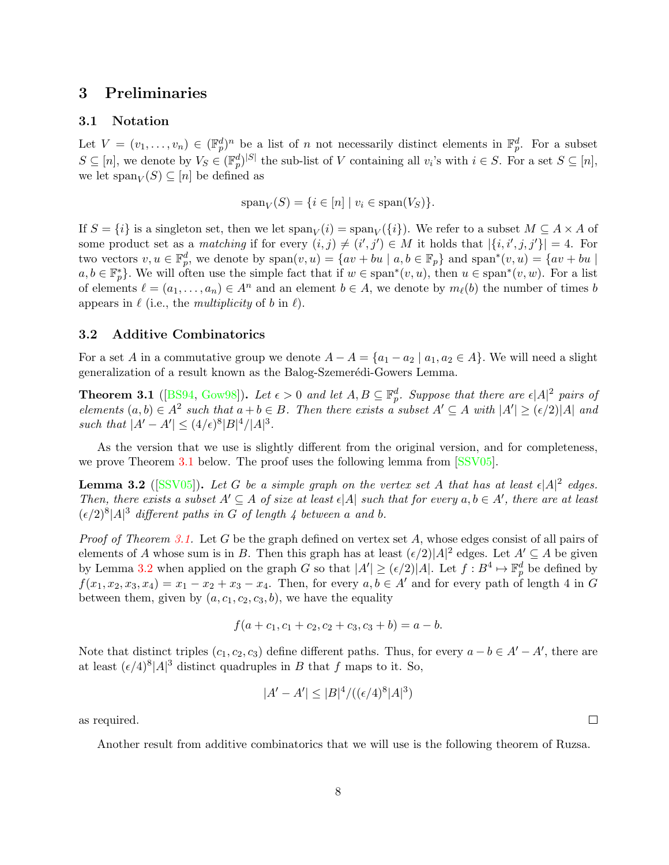### <span id="page-8-0"></span>3 Preliminaries

#### 3.1 Notation

Let  $V = (v_1, \ldots, v_n) \in (\mathbb{F}_p^d)^n$  be a list of n not necessarily distinct elements in  $\mathbb{F}_p^d$ . For a subset  $S \subseteq [n]$ , we denote by  $V_S \in (\mathbb{F}_p^d)^{|S|}$  the sub-list of V containing all  $v_i$ 's with  $i \in S$ . For a set  $S \subseteq [n]$ , we let  $\text{span}_V(S) \subseteq [n]$  be defined as

$$
\operatorname{span}_V(S) = \{ i \in [n] \mid v_i \in \operatorname{span}(V_S) \}.
$$

If  $S = \{i\}$  is a singleton set, then we let  $\text{span}_V(i) = \text{span}_V(\{i\})$ . We refer to a subset  $M \subseteq A \times A$  of some product set as a matching if for every  $(i, j) \neq (i', j') \in M$  it holds that  $|\{i, i', j, j'\}| = 4$ . For two vectors  $v, u \in \mathbb{F}_p^d$ , we denote by  $\text{span}(v, u) = \{av + bu \mid a, b \in \mathbb{F}_p\}$  and  $\text{span}^*(v, u) = \{av + bu \mid$  $a, b \in \mathbb{F}_p^*$ . We will often use the simple fact that if  $w \in \text{span}^*(v, u)$ , then  $u \in \text{span}^*(v, w)$ . For a list of elements  $\ell = (a_1, \ldots, a_n) \in A^n$  and an element  $b \in A$ , we denote by  $m_{\ell}(b)$  the number of times b appears in  $\ell$  (i.e., the *multiplicity* of b in  $\ell$ ).

#### 3.2 Additive Combinatorics

For a set A in a commutative group we denote  $A - A = \{a_1 - a_2 \mid a_1, a_2 \in A\}$ . We will need a slight generalization of a result known as the Balog-Szemerédi-Gowers Lemma.

<span id="page-8-1"></span>**Theorem 3.1** ([\[BS94,](#page--1-11) [Gow98\]](#page--1-12)). Let  $\epsilon > 0$  and let  $A, B \subseteq \mathbb{F}_p^d$ . Suppose that there are  $\epsilon |A|^2$  pairs of elements  $(a, b) \in A^2$  such that  $a + b \in B$ . Then there exists a subset  $A' \subseteq A$  with  $|A'| \geq (\epsilon/2)|A|$  and such that  $|A' - A'| \leq (4/\epsilon)^8 |B|^4 / |A|^3$ .

As the version that we use is slightly different from the original version, and for completeness, we prove Theorem [3.1](#page-8-1) below. The proof uses the following lemma from [\[SSV05\]](#page--1-14).

<span id="page-8-2"></span>**Lemma 3.2** ([\[SSV05\]](#page--1-14)). Let G be a simple graph on the vertex set A that has at least  $\epsilon |A|^2$  edges. Then, there exists a subset  $A' \subseteq A$  of size at least  $\epsilon |A|$  such that for every  $a, b \in A'$ , there are at least  $(\epsilon/2)^8 |A|^3$  different paths in G of length 4 between a and b.

*Proof of Theorem [3.1.](#page-8-1)* Let G be the graph defined on vertex set A, whose edges consist of all pairs of elements of A whose sum is in B. Then this graph has at least  $(\epsilon/2)|A|^2$  edges. Let  $A' \subseteq A$  be given by Lemma [3.2](#page-8-2) when applied on the graph G so that  $|A'| \geq (\epsilon/2)|A|$ . Let  $f : B^4 \mapsto \mathbb{F}_p^d$  be defined by  $f(x_1, x_2, x_3, x_4) = x_1 - x_2 + x_3 - x_4$ . Then, for every  $a, b \in A'$  and for every path of length 4 in G between them, given by  $(a, c_1, c_2, c_3, b)$ , we have the equality

$$
f(a + c_1, c_1 + c_2, c_2 + c_3, c_3 + b) = a - b.
$$

Note that distinct triples  $(c_1, c_2, c_3)$  define different paths. Thus, for every  $a - b \in A' - A'$ , there are at least  $(\epsilon/4)^8 |A|^3$  distinct quadruples in B that f maps to it. So,

$$
|A' - A'| \le |B|^4 / ((\epsilon/4)^8 |A|^3)
$$

as required.

Another result from additive combinatorics that we will use is the following theorem of Ruzsa.

 $\Box$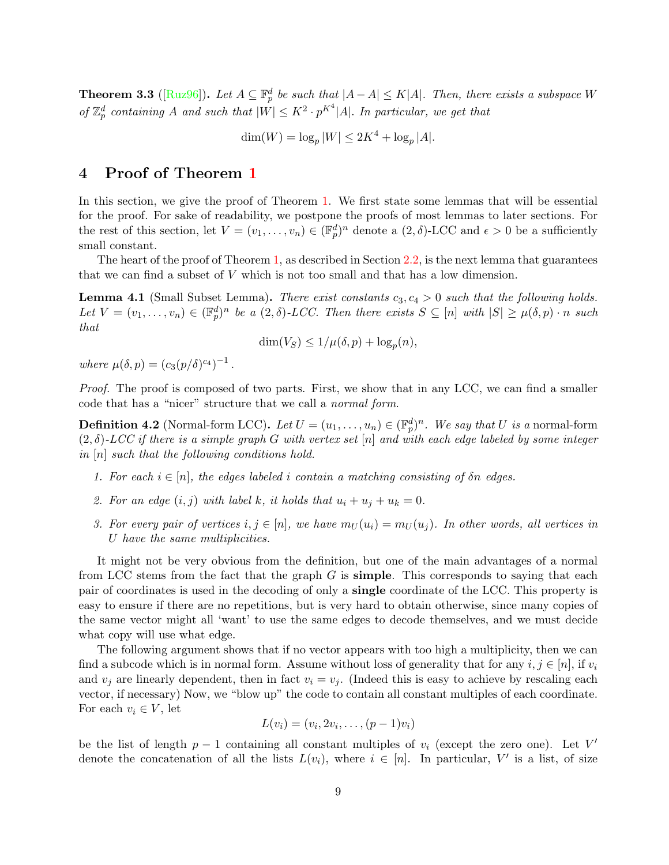<span id="page-9-6"></span>**Theorem 3.3** ([\[Ruz96\]](#page--1-13)). Let  $A \subseteq \mathbb{F}_p^d$  be such that  $|A - A| \le K|A|$ . Then, there exists a subspace W of  $\mathbb{Z}_p^d$  containing A and such that  $|W| \leq K^2 \cdot p^{K^4} |A|$ . In particular, we get that

 $\dim(W) = \log_p|W| \le 2K^4 + \log_p|A|.$ 

### <span id="page-9-0"></span>4 Proof of Theorem [1](#page-2-2)

In this section, we give the proof of Theorem [1.](#page-2-2) We first state some lemmas that will be essential for the proof. For sake of readability, we postpone the proofs of most lemmas to later sections. For the rest of this section, let  $V = (v_1, \ldots, v_n) \in (\mathbb{F}_p^d)^n$  denote a  $(2, \delta)$ -LCC and  $\epsilon > 0$  be a sufficiently small constant.

The heart of the proof of Theorem [1,](#page-2-2) as described in Section [2.2,](#page-7-0) is the next lemma that guarantees that we can find a subset of V which is not too small and that has a low dimension.

<span id="page-9-1"></span>**Lemma 4.1** (Small Subset Lemma). There exist constants  $c_3, c_4 > 0$  such that the following holds. Let  $V = (v_1, \ldots, v_n) \in (\mathbb{F}_p^d)^n$  be a  $(2, \delta)$ -LCC. Then there exists  $S \subseteq [n]$  with  $|S| \ge \mu(\delta, p) \cdot n$  such that

$$
\dim(V_S) \le 1/\mu(\delta, p) + \log_p(n),
$$

where  $\mu(\delta, p) = (c_3(p/\delta)^{c_4})^{-1}$ .

Proof. The proof is composed of two parts. First, we show that in any LCC, we can find a smaller code that has a "nicer" structure that we call a normal form.

<span id="page-9-2"></span>**Definition 4.2** (Normal-form LCC). Let  $U = (u_1, \ldots, u_n) \in (\mathbb{F}_p^d)^n$ . We say that U is a normal-form  $(2, \delta)$ -LCC if there is a simple graph G with vertex set [n] and with each edge labeled by some integer in [n] such that the following conditions hold.

- <span id="page-9-3"></span>1. For each  $i \in [n]$ , the edges labeled i contain a matching consisting of  $\delta n$  edges.
- <span id="page-9-4"></span>2. For an edge  $(i, j)$  with label k, it holds that  $u_i + u_j + u_k = 0$ .
- <span id="page-9-5"></span>3. For every pair of vertices  $i, j \in [n]$ , we have  $m_U(u_i) = m_U(u_i)$ . In other words, all vertices in U have the same multiplicities.

It might not be very obvious from the definition, but one of the main advantages of a normal from LCC stems from the fact that the graph  $G$  is **simple**. This corresponds to saying that each pair of coordinates is used in the decoding of only a single coordinate of the LCC. This property is easy to ensure if there are no repetitions, but is very hard to obtain otherwise, since many copies of the same vector might all 'want' to use the same edges to decode themselves, and we must decide what copy will use what edge.

The following argument shows that if no vector appears with too high a multiplicity, then we can find a subcode which is in normal form. Assume without loss of generality that for any  $i, j \in [n]$ , if  $v_i$ and  $v_i$  are linearly dependent, then in fact  $v_i = v_i$ . (Indeed this is easy to achieve by rescaling each vector, if necessary) Now, we "blow up" the code to contain all constant multiples of each coordinate. For each  $v_i \in V$ , let

$$
L(v_i)=(v_i,2v_i,\ldots,(p-1)v_i)
$$

be the list of length  $p-1$  containing all constant multiples of  $v_i$  (except the zero one). Let V' denote the concatenation of all the lists  $L(v_i)$ , where  $i \in [n]$ . In particular, V' is a list, of size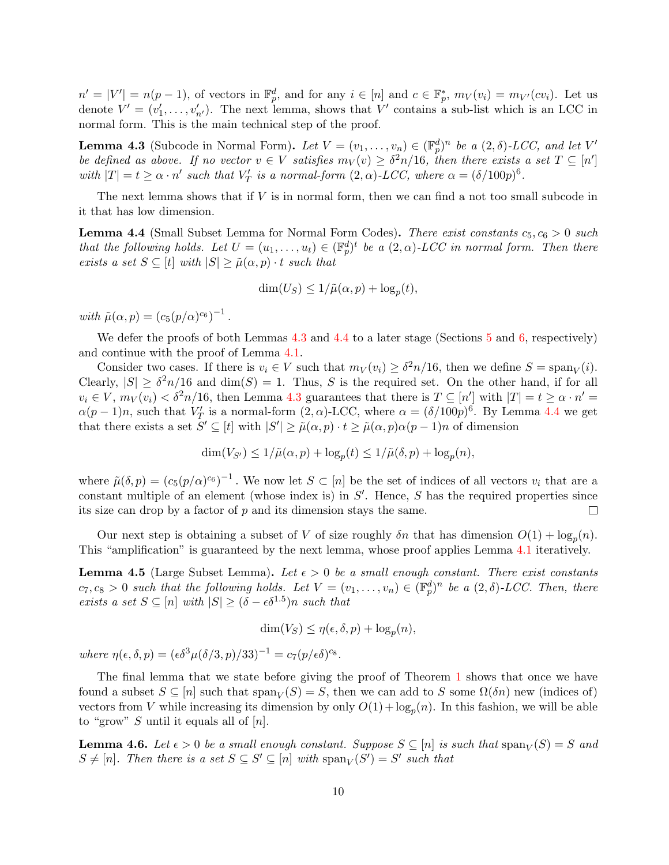$n' = |V'| = n(p-1)$ , of vectors in  $\mathbb{F}_p^d$ , and for any  $i \in [n]$  and  $c \in \mathbb{F}_p^*$ ,  $m_V(v_i) = m_{V'}(cv_i)$ . Let us denote  $V' = (v'_1, \ldots, v'_{n'})$ . The next lemma, shows that V' contains a sub-list which is an LCC in normal form. This is the main technical step of the proof.

<span id="page-10-0"></span>**Lemma 4.3** (Subcode in Normal Form). Let  $V = (v_1, \ldots, v_n) \in (\mathbb{F}_p^d)^n$  be a  $(2, \delta)$ -LCC, and let  $V'$ be defined as above. If no vector  $v \in V$  satisfies  $m_V(v) \geq \delta^2 n/16$ , then there exists a set  $T \subseteq [n']$ with  $|T| = t \ge \alpha \cdot n'$  such that  $V'_T$  is a normal-form  $(2, \alpha)$ -LCC, where  $\alpha = (\delta/100p)^6$ .

The next lemma shows that if  $V$  is in normal form, then we can find a not too small subcode in it that has low dimension.

<span id="page-10-1"></span>**Lemma 4.4** (Small Subset Lemma for Normal Form Codes). There exist constants  $c_5, c_6 > 0$  such that the following holds. Let  $U = (u_1, \ldots, u_t) \in (\mathbb{F}_p^d)^t$  be a  $(2, \alpha)$ -LCC in normal form. Then there exists a set  $S \subseteq [t]$  with  $|S| \ge \tilde{\mu}(\alpha, p) \cdot t$  such that

$$
\dim(U_S) \le 1/\tilde{\mu}(\alpha, p) + \log_p(t),
$$

with  $\tilde{\mu}(\alpha, p) = (c_5(p/\alpha)^{c_6})^{-1}$ .

We defer the proofs of both Lemmas [4.3](#page-10-0) and [4.4](#page-10-1) to a later stage (Sections [5](#page-11-0) and [6,](#page-18-0) respectively) and continue with the proof of Lemma [4.1.](#page-9-1)

Consider two cases. If there is  $v_i \in V$  such that  $m_V(v_i) \geq \delta^2 n/16$ , then we define  $S = \text{span}_V(i)$ . Clearly,  $|S| \geq \delta^2 n/16$  and  $\dim(S) = 1$ . Thus, S is the required set. On the other hand, if for all  $v_i \in V$ ,  $m_V(v_i) < \delta^2 n/16$ , then Lemma [4.3](#page-10-0) guarantees that there is  $T \subseteq [n']$  with  $|T| = t \ge \alpha \cdot n' =$  $\alpha(p-1)n$ , such that  $V'_T$  is a normal-form  $(2, \alpha)$ -LCC, where  $\alpha = (\delta/100p)^6$ . By Lemma [4.4](#page-10-1) we get that there exists a set  $S' \subseteq [t]$  with  $|S'| \ge \tilde{\mu}(\alpha, p) \cdot t \ge \tilde{\mu}(\alpha, p) \alpha(p-1)n$  of dimension

$$
\dim(V_{S'}) \le 1/\tilde{\mu}(\alpha, p) + \log_p(t) \le 1/\tilde{\mu}(\delta, p) + \log_p(n),
$$

where  $\tilde{\mu}(\delta, p) = (c_5(p/\alpha)^{c_6})^{-1}$ . We now let  $S \subset [n]$  be the set of indices of all vectors  $v_i$  that are a constant multiple of an element (whose index is) in  $S'$ . Hence,  $S$  has the required properties since its size can drop by a factor of  $p$  and its dimension stays the same.  $\Box$ 

Our next step is obtaining a subset of V of size roughly  $\delta n$  that has dimension  $O(1) + \log_p(n)$ . This "amplification" is guaranteed by the next lemma, whose proof applies Lemma [4.1](#page-9-1) iteratively.

<span id="page-10-2"></span>**Lemma 4.5** (Large Subset Lemma). Let  $\epsilon > 0$  be a small enough constant. There exist constants  $c_7, c_8 > 0$  such that the following holds. Let  $V = (v_1, \ldots, v_n) \in (\mathbb{F}_p^d)^n$  be a  $(2, \delta)$ -LCC. Then, there exists a set  $S \subseteq [n]$  with  $|S| \geq (\delta - \epsilon \delta^{1.5})n$  such that

$$
\dim(V_S) \le \eta(\epsilon, \delta, p) + \log_p(n),
$$

where  $\eta(\epsilon, \delta, p) = (\epsilon \delta^3 \mu(\delta/3, p)/33)^{-1} = c_7(p/\epsilon \delta)^{c_8}$ .

The final lemma that we state before giving the proof of Theorem [1](#page-2-2) shows that once we have found a subset  $S \subseteq [n]$  such that  $\text{span}_V(S) = S$ , then we can add to S some  $\Omega(\delta n)$  new (indices of) vectors from V while increasing its dimension by only  $O(1) + \log_p(n)$ . In this fashion, we will be able to "grow" S until it equals all of  $[n]$ .

<span id="page-10-3"></span>**Lemma 4.6.** Let  $\epsilon > 0$  be a small enough constant. Suppose  $S \subseteq [n]$  is such that  $\text{span}_V(S) = S$  and  $S \neq [n]$ . Then there is a set  $S \subseteq S' \subseteq [n]$  with  $\text{span}_V(S') = S'$  such that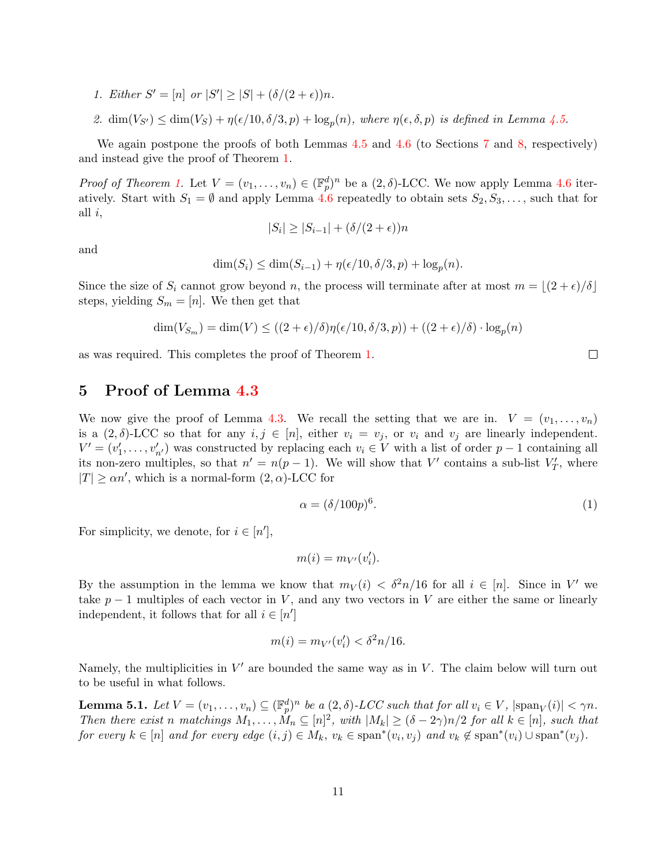- 1. Either  $S' = [n]$  or  $|S'| \ge |S| + (\delta/(2 + \epsilon))n$ .
- 2.  $\dim(V_{S'}) \leq \dim(V_S) + \eta(\epsilon/10, \delta/3, p) + \log_p(n)$ , where  $\eta(\epsilon, \delta, p)$  is defined in Lemma [4.5.](#page-10-2)

We again postpone the proofs of both Lemmas [4.5](#page-10-2) and [4.6](#page-10-3) (to Sections [7](#page-19-0) and [8,](#page-22-0) respectively) and instead give the proof of Theorem [1.](#page-2-2)

*Proof of Theorem [1.](#page-2-2)* Let  $V = (v_1, \ldots, v_n) \in (\mathbb{F}_p^d)^n$  be a  $(2, \delta)$ -LCC. We now apply Lemma [4.6](#page-10-3) iteratively. Start with  $S_1 = \emptyset$  and apply Lemma [4.6](#page-10-3) repeatedly to obtain sets  $S_2, S_3, \ldots$ , such that for all  $i$ ,

$$
|S_i| \ge |S_{i-1}| + (\delta/(2+\epsilon))n
$$

and

$$
\dim(S_i) \le \dim(S_{i-1}) + \eta(\epsilon/10, \delta/3, p) + \log_p(n).
$$

Since the size of  $S_i$  cannot grow beyond n, the process will terminate after at most  $m = |(2 + \epsilon)/\delta|$ steps, yielding  $S_m = [n]$ . We then get that

$$
\dim(V_{S_m}) = \dim(V) \le ((2 + \epsilon)/\delta)\eta(\epsilon/10, \delta/3, p)) + ((2 + \epsilon)/\delta) \cdot \log_p(n)
$$

as was required. This completes the proof of Theorem [1.](#page-2-2)

### <span id="page-11-0"></span>5 Proof of Lemma [4.3](#page-10-0)

We now give the proof of Lemma [4.3.](#page-10-0) We recall the setting that we are in.  $V = (v_1, \ldots, v_n)$ is a  $(2, \delta)$ -LCC so that for any  $i, j \in [n]$ , either  $v_i = v_j$ , or  $v_i$  and  $v_j$  are linearly independent.  $V' = (v'_1, \ldots, v'_{n'})$  was constructed by replacing each  $v_i \in V$  with a list of order  $p-1$  containing all its non-zero multiples, so that  $n' = n(p-1)$ . We will show that V' contains a sub-list  $V'_T$ , where  $|T| \ge \alpha n'$ , which is a normal-form  $(2, \alpha)$ -LCC for

$$
\alpha = (\delta/100p)^6. \tag{1}
$$

For simplicity, we denote, for  $i \in [n']$ ,

$$
m(i) = m_{V'}(v'_i).
$$

By the assumption in the lemma we know that  $m_V(i) < \delta^2 n/16$  for all  $i \in [n]$ . Since in V' we take  $p-1$  multiples of each vector in V, and any two vectors in V are either the same or linearly independent, it follows that for all  $i \in [n']$ 

$$
m(i) = m_{V'}(v_i') < \delta^2 n/16.
$$

Namely, the multiplicities in  $V'$  are bounded the same way as in  $V$ . The claim below will turn out to be useful in what follows.

<span id="page-11-1"></span>**Lemma 5.1.** Let  $V = (v_1, \ldots, v_n) \subseteq (\mathbb{F}_p^d)^n$  be a  $(2, \delta)$ -LCC such that for all  $v_i \in V$ ,  $|\text{span}_V(i)| < \gamma n$ . Then there exist n matchings  $M_1, \ldots, M_n \subseteq [n]^2$ , with  $|M_k| \geq (\delta - 2\gamma)n/2$  for all  $k \in [n]$ , such that for every  $k \in [n]$  and for every edge  $(i, j) \in M_k$ ,  $v_k \in \text{span}^*(v_i, v_j)$  and  $v_k \notin \text{span}^*(v_i) \cup \text{span}^*(v_j)$ .

 $\Box$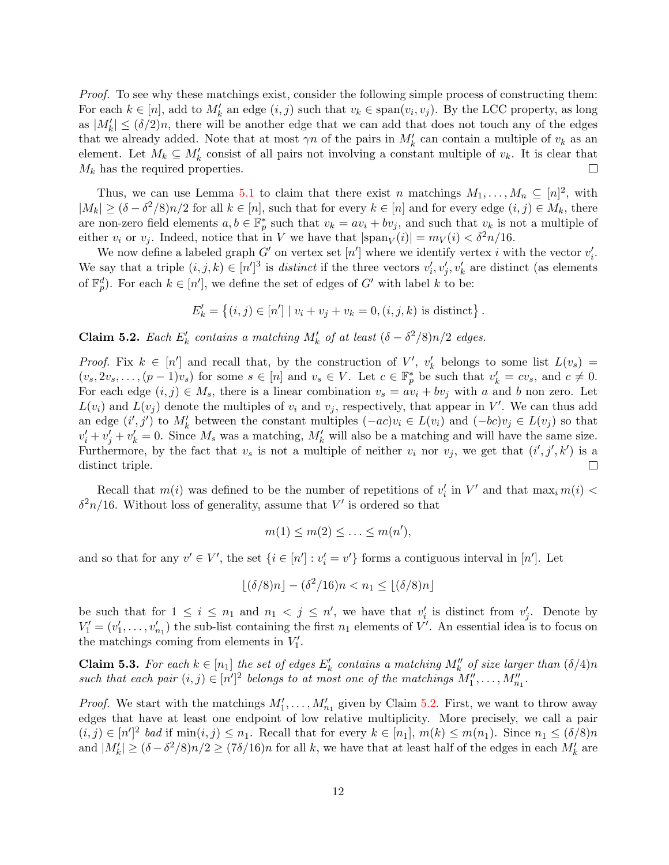Proof. To see why these matchings exist, consider the following simple process of constructing them: For each  $k \in [n]$ , add to  $M'_k$  an edge  $(i, j)$  such that  $v_k \in \text{span}(v_i, v_j)$ . By the LCC property, as long as  $|M'_k| \leq (\delta/2)n$ , there will be another edge that we can add that does not touch any of the edges that we already added. Note that at most  $\gamma n$  of the pairs in  $M'_k$  can contain a multiple of  $v_k$  as an element. Let  $M_k \subseteq M'_k$  consist of all pairs not involving a constant multiple of  $v_k$ . It is clear that  $M_k$  has the required properties.  $\Box$ 

Thus, we can use Lemma [5.1](#page-11-1) to claim that there exist n matchings  $M_1, \ldots, M_n \subseteq [n]^2$ , with  $|M_k| \ge (\delta - \delta^2/8)n/2$  for all  $k \in [n]$ , such that for every  $k \in [n]$  and for every edge  $(i, j) \in M_k$ , there are non-zero field elements  $a, b \in \mathbb{F}_p^*$  such that  $v_k = av_i + bv_j$ , and such that  $v_k$  is not a multiple of either  $v_i$  or  $v_j$ . Indeed, notice that in V we have that  $|\text{span}_V(i)| = m_V(i) < \delta^2 n/16$ .

We now define a labeled graph  $G'$  on vertex set  $[n']$  where we identify vertex i with the vector  $v'_i$ . We say that a triple  $(i, j, k) \in [n']^3$  is *distinct* if the three vectors  $v'_i, v'_j, v'_k$  are distinct (as elements of  $\mathbb{F}_p^d$ ). For each  $k \in [n']$ , we define the set of edges of G' with label k to be:

$$
E'_{k} = \{(i, j) \in [n'] \mid v_{i} + v_{j} + v_{k} = 0, (i, j, k) \text{ is distinct}\}.
$$

<span id="page-12-0"></span>**Claim 5.2.** Each  $E'_k$  contains a matching  $M'_k$  of at least  $(\delta - \delta^2/8)n/2$  edges.

*Proof.* Fix  $k \in [n']$  and recall that, by the construction of V',  $v'_k$  belongs to some list  $L(v_s)$  =  $(v_s, 2v_s, \ldots, (p-1)v_s)$  for some  $s \in [n]$  and  $v_s \in V$ . Let  $c \in \mathbb{F}_p^*$  be such that  $v'_k = cv_s$ , and  $c \neq 0$ . For each edge  $(i, j) \in M_s$ , there is a linear combination  $v_s = av_i + bv_j$  with a and b non zero. Let  $L(v_i)$  and  $L(v_j)$  denote the multiples of  $v_i$  and  $v_j$ , respectively, that appear in V'. We can thus add an edge  $(i',j')$  to  $M'_k$  between the constant multiples  $(-ac)v_i \in L(v_i)$  and  $(-bc)v_j \in L(v_j)$  so that  $v'_i + v'_j + v'_k = 0$ . Since  $M_s$  was a matching,  $M'_k$  will also be a matching and will have the same size. Furthermore, by the fact that  $v_s$  is not a multiple of neither  $v_i$  nor  $v_j$ , we get that  $(i',j',k')$  is a distinct triple.  $\Box$ 

Recall that  $m(i)$  was defined to be the number of repetitions of  $v'_i$  in  $V'$  and that  $\max_i m(i)$  <  $\delta^2 n/16$ . Without loss of generality, assume that V' is ordered so that

$$
m(1) \le m(2) \le \ldots \le m(n'),
$$

and so that for any  $v' \in V'$ , the set  $\{i \in [n'] : v'_i = v'\}$  forms a contiguous interval in [n']. Let

$$
\lfloor (\delta/8)n \rfloor - (\delta^2/16)n < n_1 \le \lfloor (\delta/8)n \rfloor
$$

be such that for  $1 \leq i \leq n_1$  and  $n_1 < j \leq n'$ , we have that  $v'_i$  is distinct from  $v'_j$ . Denote by  $V_1' = (v_1', \ldots, v_{n_1}')$  the sub-list containing the first  $n_1$  elements of V'. An essential idea is to focus on the matchings coming from elements in  $V_1'$ .

<span id="page-12-1"></span>**Claim 5.3.** For each  $k \in [n_1]$  the set of edges  $E'_k$  contains a matching  $M''_k$  of size larger than  $(\delta/4)n$ such that each pair  $(i, j) \in [n']^2$  belongs to at most one of the matchings  $M''_1, \ldots, M''_{n_1}$ .

*Proof.* We start with the matchings  $M'_1, \ldots, M'_{n_1}$  given by Claim [5.2.](#page-12-0) First, we want to throw away edges that have at least one endpoint of low relative multiplicity. More precisely, we call a pair  $(i, j) \in [n']^2$  bad if  $\min(i, j) \leq n_1$ . Recall that for every  $k \in [n_1]$ ,  $m(k) \leq m(n_1)$ . Since  $n_1 \leq (\delta/8)n$ and  $|M'_k| \ge (\delta - \delta^2/8)n/2 \ge (7\delta/16)n$  for all k, we have that at least half of the edges in each  $M'_k$  are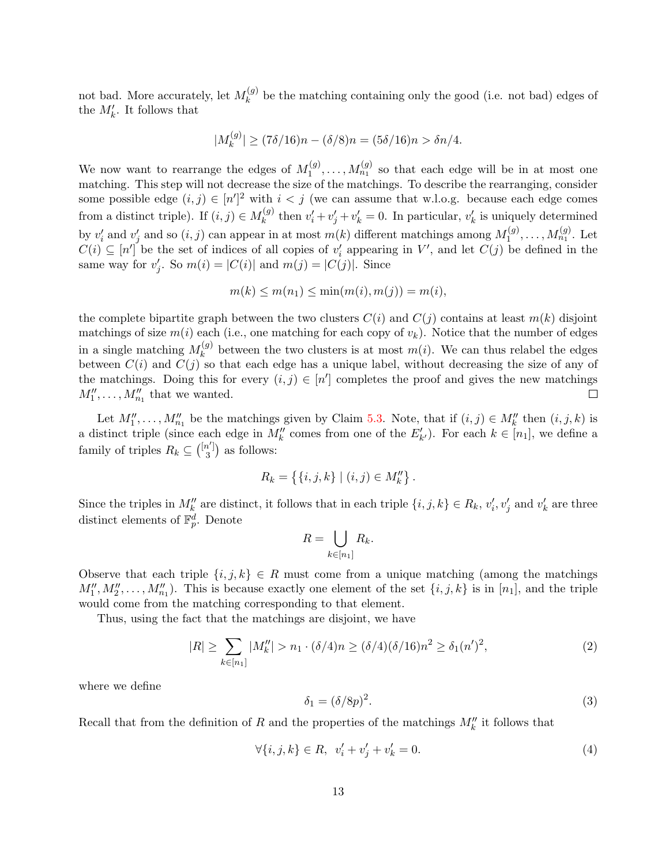not bad. More accurately, let  $M_k^{(g)}$  $\kappa_k^{(g)}$  be the matching containing only the good (i.e. not bad) edges of the  $M'_k$ . It follows that

$$
|M_k^{(g)}| \ge (7\delta/16)n - (\delta/8)n = (5\delta/16)n > \delta n/4.
$$

We now want to rearrange the edges of  $M_1^{(g)}$  $\mathcal{N}_1^{(g)}, \ldots, \mathcal{N}_{n_1}^{(g)}$  so that each edge will be in at most one matching. This step will not decrease the size of the matchings. To describe the rearranging, consider some possible edge  $(i, j) \in [n']^2$  with  $i < j$  (we can assume that w.l.o.g. because each edge comes from a distinct triple). If  $(i, j) \in M_k^{(g)}$  $v'_k$  then  $v'_i + v'_j + v'_k = 0$ . In particular,  $v'_k$  is uniquely determined by  $v'_i$  and  $v'_j$  and so  $(i, j)$  can appear in at most  $m(k)$  different matchings among  $M_1^{(g)}$  $\mathcal{M}_{n_1}^{(g)}, \ldots, \mathcal{M}_{n_1}^{(g)}$ . Let  $C(i) \subseteq [n']$  be the set of indices of all copies of  $v'_i$  appearing in V', and let  $C(j)$  be defined in the same way for  $v'_j$ . So  $m(i) = |C(i)|$  and  $m(j) = |C(j)|$ . Since

$$
m(k) \le m(n_1) \le \min(m(i), m(j)) = m(i),
$$

the complete bipartite graph between the two clusters  $C(i)$  and  $C(j)$  contains at least  $m(k)$  disjoint matchings of size  $m(i)$  each (i.e., one matching for each copy of  $v_k$ ). Notice that the number of edges in a single matching  $M_k^{(g)}$  $\kappa_k^{(g)}$  between the two clusters is at most  $m(i)$ . We can thus relabel the edges between  $C(i)$  and  $C(j)$  so that each edge has a unique label, without decreasing the size of any of the matchings. Doing this for every  $(i, j) \in [n']$  completes the proof and gives the new matchings  $M_1'', \ldots, M_{n_1}''$  that we wanted.  $\Box$ 

Let  $M_1'', \ldots, M_{n_1}''$  be the matchings given by Claim [5.3.](#page-12-1) Note, that if  $(i, j) \in M_k''$  then  $(i, j, k)$  is a distinct triple (since each edge in  $M''_k$  comes from one of the  $E'_{k'}$ ). For each  $k \in [n_1]$ , we define a family of triples  $R_k \subseteq \binom{[n']}{3}$  $a_3^{\prime\,\vert}$  as follows:

$$
R_k = \{ \{i, j, k\} \mid (i, j) \in M''_k \}.
$$

Since the triples in  $M''_k$  are distinct, it follows that in each triple  $\{i, j, k\} \in R_k$ ,  $v'_i, v'_j$  and  $v'_k$  are three distinct elements of  $\mathbb{F}_p^d$ . Denote

$$
R = \bigcup_{k \in [n_1]} R_k.
$$

Observe that each triple  $\{i, j, k\} \in R$  must come from a unique matching (among the matchings  $M''_1, M''_2, \ldots, M''_{n_1}$ . This is because exactly one element of the set  $\{i, j, k\}$  is in  $[n_1]$ , and the triple would come from the matching corresponding to that element.

Thus, using the fact that the matchings are disjoint, we have

$$
|R| \geq \sum_{k \in [n_1]} |M_k''| > n_1 \cdot (\delta/4)n \geq (\delta/4)(\delta/16)n^2 \geq \delta_1(n')^2,\tag{2}
$$

where we define

$$
\delta_1 = (\delta/8p)^2. \tag{3}
$$

Recall that from the definition of R and the properties of the matchings  $M''_k$  it follows that

$$
\forall \{i, j, k\} \in R, \ v_i' + v_j' + v_k' = 0. \tag{4}
$$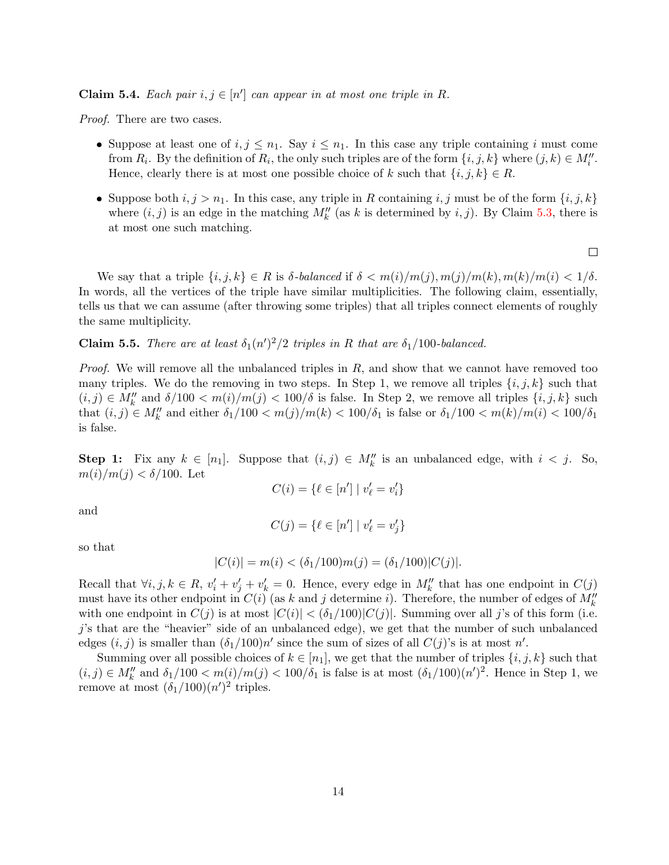<span id="page-14-0"></span>Claim 5.4. Each pair  $i, j \in [n']$  can appear in at most one triple in R.

Proof. There are two cases.

- Suppose at least one of  $i, j \leq n_1$ . Say  $i \leq n_1$ . In this case any triple containing i must come from  $R_i$ . By the definition of  $R_i$ , the only such triples are of the form  $\{i, j, k\}$  where  $(j, k) \in M''_i$ . Hence, clearly there is at most one possible choice of k such that  $\{i, j, k\} \in R$ .
- Suppose both  $i, j > n_1$ . In this case, any triple in R containing  $i, j$  must be of the form  $\{i, j, k\}$ where  $(i, j)$  is an edge in the matching  $M''_k$  (as k is determined by  $i, j$ ). By Claim [5.3,](#page-12-1) there is at most one such matching.

 $\Box$ 

We say that a triple  $\{i, j, k\} \in R$  is  $\delta$ -balanced if  $\delta < m(i)/m(j), m(j)/m(k), m(k)/m(i) < 1/\delta$ . In words, all the vertices of the triple have similar multiplicities. The following claim, essentially, tells us that we can assume (after throwing some triples) that all triples connect elements of roughly the same multiplicity.

**Claim 5.5.** There are at least  $\delta_1(n')^2/2$  triples in R that are  $\delta_1/100$ -balanced.

*Proof.* We will remove all the unbalanced triples in  $R$ , and show that we cannot have removed too many triples. We do the removing in two steps. In Step 1, we remove all triples  $\{i, j, k\}$  such that  $(i, j) \in M''_k$  and  $\delta/100 < m(i)/m(j) < 100/\delta$  is false. In Step 2, we remove all triples  $\{i, j, k\}$  such that  $(i, j) \in M''_k$  and either  $\delta_1/100 < m(j)/m(k) < 100/\delta_1$  is false or  $\delta_1/100 < m(k)/m(i) < 100/\delta_1$ is false.

**Step 1:** Fix any  $k \in [n_1]$ . Suppose that  $(i, j) \in M''_k$  is an unbalanced edge, with  $i < j$ . So,  $m(i)/m(j) < \delta/100$ . Let

$$
C(i) = \{ \ell \in [n'] \mid v'_{\ell} = v'_{i} \}
$$

and

$$
C(j) = \{ \ell \in [n'] \mid v'_{\ell} = v'_{j} \}
$$

so that

$$
|C(i)| = m(i) < (\delta_1/100)m(j) = (\delta_1/100)|C(j)|.
$$

Recall that  $\forall i, j, k \in R$ ,  $v'_i + v'_j + v'_k = 0$ . Hence, every edge in  $M''_k$  that has one endpoint in  $C(j)$ must have its other endpoint in  $C(i)$  (as k and j determine i). Therefore, the number of edges of  $M_k''$ with one endpoint in  $C(j)$  is at most  $|C(i)| < (\delta_1/100)|C(j)|$ . Summing over all j's of this form (i.e. j's that are the "heavier" side of an unbalanced edge), we get that the number of such unbalanced edges  $(i, j)$  is smaller than  $(\delta_1/100)n'$  since the sum of sizes of all  $C(j)$ 's is at most n'.

Summing over all possible choices of  $k \in [n_1]$ , we get that the number of triples  $\{i, j, k\}$  such that  $(i, j) \in M''_k$  and  $\delta_1/100 < m(i)/m(j) < 100/\delta_1$  is false is at most  $(\delta_1/100)(n')^2$ . Hence in Step 1, we remove at most  $(\delta_1/100)(n')^2$  triples.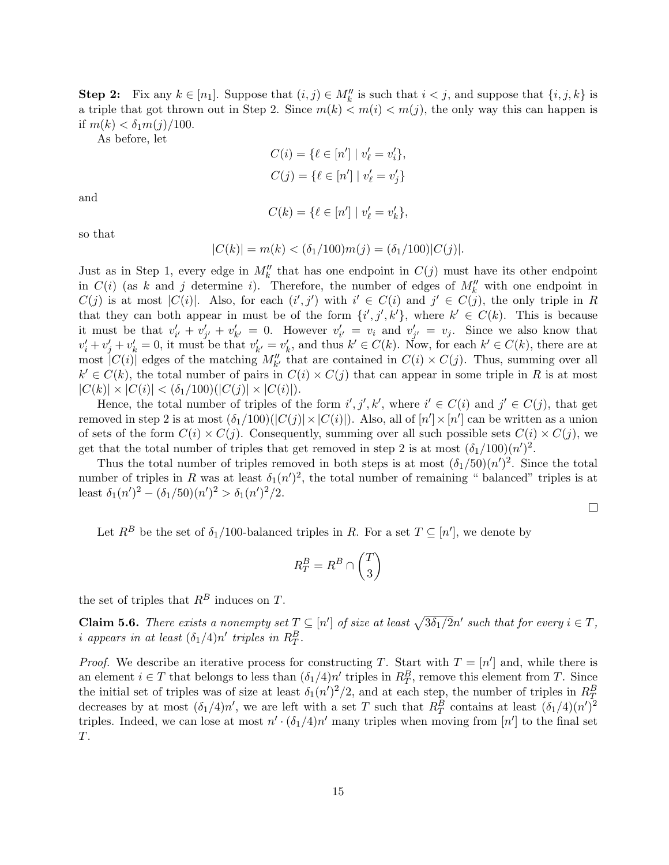**Step 2:** Fix any  $k \in [n_1]$ . Suppose that  $(i, j) \in M''_k$  is such that  $i < j$ , and suppose that  $\{i, j, k\}$  is a triple that got thrown out in Step 2. Since  $m(k) < m(i) < m(j)$ , the only way this can happen is if  $m(k) < \delta_1 m(j)/100$ .

As before, let

$$
C(i) = \{ \ell \in [n'] \mid v'_{\ell} = v'_{i} \},
$$
  

$$
C(j) = \{ \ell \in [n'] \mid v'_{\ell} = v'_{j} \}
$$

and

$$
C(k) = \{ \ell \in [n'] \mid v'_{\ell} = v'_{k} \},
$$

so that

$$
|C(k)| = m(k) < (\delta_1/100)m(j) = (\delta_1/100)|C(j)|.
$$

Just as in Step 1, every edge in  $M''_k$  that has one endpoint in  $C(j)$  must have its other endpoint in  $C(i)$  (as k and j determine i). Therefore, the number of edges of  $M''_k$  with one endpoint in  $C(j)$  is at most  $|C(i)|$ . Also, for each  $(i',j')$  with  $i' \in C(i)$  and  $j' \in C(j)$ , the only triple in R that they can both appear in must be of the form  $\{i',j',k'\}$ , where  $k' \in C(k)$ . This is because it must be that  $v'_{i'} + v'_{j'} + v'_{k'} = 0$ . However  $v'_{i'} = v_i$  and  $v'_{j'} = v_j$ . Since we also know that  $v'_i + v'_j + v'_k = 0$ , it must be that  $v'_{k'} = v'_k$ , and thus  $k' \in C(k)$ . Now, for each  $k' \in C(k)$ , there are at most  $|C(i)|$  edges of the matching  $M''_{k'}$  that are contained in  $C(i) \times C(j)$ . Thus, summing over all  $k' \in C(k)$ , the total number of pairs in  $C(i) \times C(j)$  that can appear in some triple in R is at most  $|C(k)| \times |C(i)| < (\delta_1/100)(|C(j)| \times |C(i)|).$ 

Hence, the total number of triples of the form  $i', j', k'$ , where  $i' \in C(i)$  and  $j' \in C(j)$ , that get removed in step 2 is at most  $(\delta_1/100)(|C(j)| \times |C(i)|)$ . Also, all of  $[n'] \times [n']$  can be written as a union of sets of the form  $C(i) \times C(j)$ . Consequently, summing over all such possible sets  $C(i) \times C(j)$ , we get that the total number of triples that get removed in step 2 is at most  $(\delta_1/100)(n')^2$ .

Thus the total number of triples removed in both steps is at most  $(\delta_1/50)(n')^2$ . Since the total number of triples in R was at least  $\delta_1(n')^2$ , the total number of remaining " balanced" triples is at least  $\delta_1(n')^2 - (\delta_1/50)(n')^2 > \delta_1(n')^2/2$ .

 $\Box$ 

Let  $R^B$  be the set of  $\delta_1/100$ -balanced triples in R. For a set  $T \subseteq [n']$ , we denote by

$$
R_T^B = R^B \cap \binom{T}{3}
$$

the set of triples that  $R^B$  induces on T.

<span id="page-15-0"></span>**Claim 5.6.** There exists a nonempty set  $T \subseteq [n']$  of size at least  $\sqrt{3\delta_1/2}n'$  such that for every  $i \in T$ , *i* appears in at least  $(\delta_1/4)n'$  triples in  $R_T^B$ .

*Proof.* We describe an iterative process for constructing T. Start with  $T = [n']$  and, while there is an element  $i \in T$  that belongs to less than  $(\delta_1/4)n'$  triples in  $R_T^B$ , remove this element from T. Since the initial set of triples was of size at least  $\delta_1(n')^2/2$ , and at each step, the number of triples in  $R_T^B$ decreases by at most  $(\delta_1/4)n'$ , we are left with a set T such that  $R_T^B$  contains at least  $(\delta_1/4)(n')^2$ triples. Indeed, we can lose at most  $n' \cdot (\delta_1/4) n'$  many triples when moving from  $[n']$  to the final set T.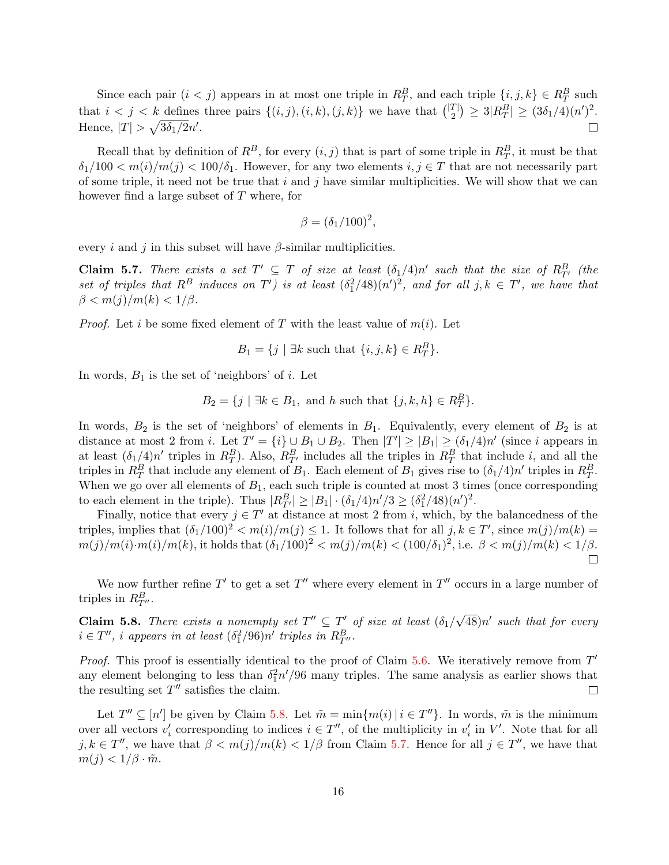Since each pair  $(i < j)$  appears in at most one triple in  $R_T^B$ , and each triple  $\{i, j, k\} \in R_T^B$  such that  $i < j < k$  defines three pairs  $\{(i, j), (i, k), (j, k)\}\$  we have that  $\binom{|T|}{2}$  $\binom{T}{2} \geq 3|R_T^B| \geq (3\delta_1/4)(n')^2.$ Hence,  $|T| > \sqrt{3\delta_1/2}n'$ .  $\Box$ 

Recall that by definition of  $R^B$ , for every  $(i, j)$  that is part of some triple in  $R_T^B$ , it must be that  $\delta_1/100 < m(i)/m(j) < 100/\delta_1$ . However, for any two elements  $i, j \in T$  that are not necessarily part of some triple, it need not be true that i and j have similar multiplicities. We will show that we can however find a large subset of T where, for

$$
\beta = (\delta_1/100)^2,
$$

every i and j in this subset will have  $\beta$ -similar multiplicities.

<span id="page-16-1"></span>**Claim 5.7.** There exists a set  $T' \subseteq T$  of size at least  $(\delta_1/4)n'$  such that the size of  $R_{T'}^B$  (the set of triples that  $R^B$  induces on  $T'$ ) is at least  $(\delta_1^2/48)(n')^2$ , and for all  $j, k \in T'$ , we have that  $\beta < m(j)/m(k) < 1/\beta$ .

*Proof.* Let i be some fixed element of T with the least value of  $m(i)$ . Let

 $B_1 = \{j \mid \exists k \text{ such that } \{i, j, k\} \in R_T^B\}.$ 

In words,  $B_1$  is the set of 'neighbors' of i. Let

 $B_2 = \{j \mid \exists k \in B_1, \text{ and } h \text{ such that } \{j, k, h\} \in R_T^B\}.$ 

In words,  $B_2$  is the set of 'neighbors' of elements in  $B_1$ . Equivalently, every element of  $B_2$  is at distance at most 2 from *i*. Let  $T' = \{i\} \cup B_1 \cup B_2$ . Then  $|T'| \geq |B_1| \geq (\delta_1/4)n'$  (since *i* appears in at least  $(\delta_1/4)n'$  triples in  $R_T^B$ ). Also,  $R_{T'}^B$  includes all the triples in  $R_T^B$  that include i, and all the triples in  $R_T^B$  that include any element of  $B_1$ . Each element of  $B_1$  gives rise to  $(\delta_1/4)n'$  triples in  $R_T^B$ . When we go over all elements of  $B_1$ , each such triple is counted at most 3 times (once corresponding to each element in the triple). Thus  $|R_{T'}^B| \ge |B_1| \cdot (\delta_1/4) n'/3 \ge (\delta_1^2/48)(n')^2$ .

Finally, notice that every  $j \in T'$  at distance at most 2 from i, which, by the balancedness of the triples, implies that  $(\delta_1/100)^2 < m(i)/m(j) \leq 1$ . It follows that for all  $j, k \in T'$ , since  $m(j)/m(k) =$  $m(j)/m(i) \cdot m(i)/m(k)$ , it holds that  $(\delta_1/100)^2 < m(j)/m(k) < (100/\delta_1)^2$ , i.e.  $\beta < m(j)/m(k) < 1/\beta$ .  $\Box$ 

We now further refine  $T'$  to get a set  $T''$  where every element in  $T''$  occurs in a large number of triples in  $R_{T}^B$ .

<span id="page-16-0"></span>**Claim 5.8.** There exists a nonempty set  $T'' \subseteq T'$  of size at least  $(\delta_1/\sqrt{\epsilon})$  $\overline{48})n'$  such that for every  $i \in T''$ , i appears in at least  $(\delta_1^2/96)n'$  triples in  $R_{T''}^B$ .

*Proof.* This proof is essentially identical to the proof of Claim  $5.6$ . We iteratively remove from  $T'$ any element belonging to less than  $\delta_1^2 n'/96$  many triples. The same analysis as earlier shows that the resulting set  $T''$  satisfies the claim.  $\Box$ 

Let  $T'' \subseteq [n']$  be given by Claim [5.8.](#page-16-0) Let  $\tilde{m} = \min\{m(i) | i \in T''\}$ . In words,  $\tilde{m}$  is the minimum over all vectors  $v'_i$  corresponding to indices  $i \in T''$ , of the multiplicity in  $v'_i$  in  $V'$ . Note that for all  $j, k \in T''$ , we have that  $\beta < m(j)/m(k) < 1/\beta$  from Claim [5.7.](#page-16-1) Hence for all  $j \in T''$ , we have that  $m(j) < 1/\beta \cdot \tilde{m}.$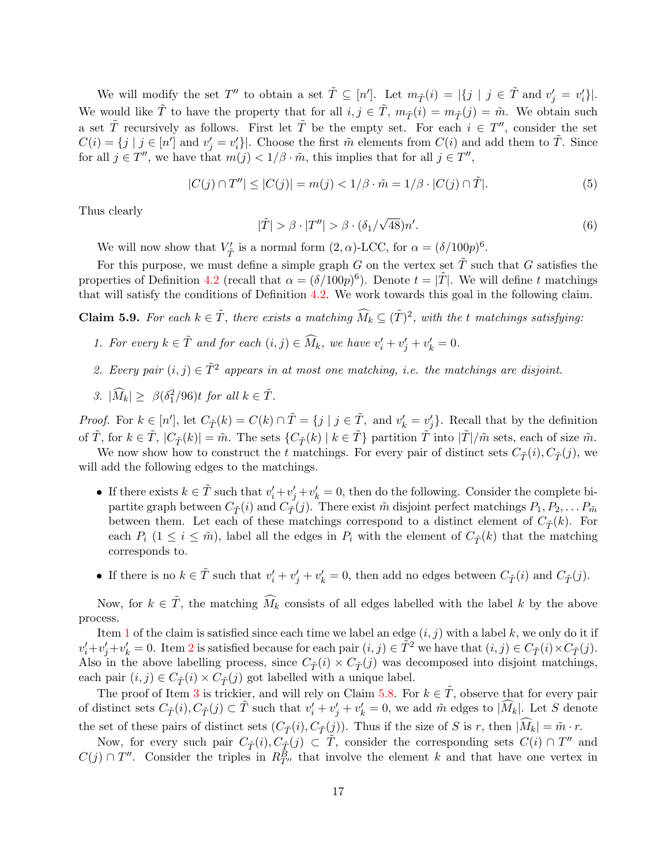We will modify the set  $T''$  to obtain a set  $\tilde{T} \subseteq [n']$ . Let  $m_{\tilde{T}}(i) = |\{j \mid j \in \tilde{T} \text{ and } v'_j = v'_i\}|$ . We would like  $\tilde{T}$  to have the property that for all  $i, j \in \tilde{T}$ ,  $m_{\tilde{T}}(i) = m_{\tilde{T}}(j) = \tilde{m}$ . We obtain such a set  $\tilde{T}$  recursively as follows. First let  $\tilde{T}$  be the empty set. For each  $i \in T''$ , consider the set  $C(i) = \{j \mid j \in [n'] \text{ and } v'_j = v'_i\}$ . Choose the first  $\tilde{m}$  elements from  $C(i)$  and add them to  $\tilde{T}$ . Since for all  $j \in T''$ , we have that  $m(j) < 1/\beta \cdot \tilde{m}$ , this implies that for all  $j \in T''$ ,

<span id="page-17-3"></span>
$$
|C(j) \cap T''| \le |C(j)| = m(j) < 1/\beta \cdot \tilde{m} = 1/\beta \cdot |C(j) \cap \tilde{T}|. \tag{5}
$$

Thus clearly

<span id="page-17-4"></span>
$$
|\tilde{T}| > \beta \cdot |T''| > \beta \cdot (\delta_1/\sqrt{48})n'. \tag{6}
$$

We will now show that  $V'_{\tilde{T}}$  is a normal form  $(2, \alpha)$ -LCC, for  $\alpha = (\delta/100p)^6$ .

For this purpose, we must define a simple graph G on the vertex set  $\tilde{T}$  such that G satisfies the properties of Definition [4.2](#page-9-2) (recall that  $\alpha = (\delta/100p)^6$ ). Denote  $t = |\tilde{T}|$ . We will define t matchings that will satisfy the conditions of Definition [4.2.](#page-9-2) We work towards this goal in the following claim.

**Claim 5.9.** For each  $k \in \tilde{T}$ , there exists a matching  $\widehat{M}_k \subseteq (\tilde{T})^2$ , with the t matchings satisfying:

- <span id="page-17-0"></span>1. For every  $k \in \tilde{T}$  and for each  $(i, j) \in \widehat{M}_k$ , we have  $v'_i + v'_j + v'_k = 0$ .
- <span id="page-17-1"></span>2. Every pair  $(i, j) \in \tilde{T}^2$  appears in at most one matching, i.e. the matchings are disjoint.
- <span id="page-17-2"></span>3.  $|\widehat{M}_k| \geq \beta(\delta_1^2/96)t$  for all  $k \in \tilde{T}$ .

*Proof.* For  $k \in [n']$ , let  $C_{\tilde{T}}(k) = C(k) \cap \tilde{T} = \{j \mid j \in \tilde{T}, \text{ and } v'_k = v'_j\}$ . Recall that by the definition of  $\tilde{T}$ , for  $k \in \tilde{T}$ ,  $|C_{\tilde{T}}(k)| = \tilde{m}$ . The sets  $\{C_{\tilde{T}}(k) | k \in \tilde{T}\}\$  partition  $\tilde{T}$  into  $|\tilde{T}|/\tilde{m}$  sets, each of size  $\tilde{m}$ .

We now show how to construct the t matchings. For every pair of distinct sets  $C_{\tilde{T}}(i)$ ,  $C_{\tilde{T}}(j)$ , we will add the following edges to the matchings.

- If there exists  $k \in \tilde{T}$  such that  $v'_i + v'_j + v'_k = 0$ , then do the following. Consider the complete bipartite graph between  $C_{\tilde{T}}(i)$  and  $C_{\tilde{T}}(j)$ . There exist  $\tilde{m}$  disjoint perfect matchings  $P_1, P_2, \ldots P_{\tilde{m}}$ between them. Let each of these matchings correspond to a distinct element of  $C_{\tilde{\mathcal{T}}}(k)$ . For each  $P_i$  ( $1 \leq i \leq \tilde{m}$ ), label all the edges in  $P_i$  with the element of  $C_{\tilde{T}}(k)$  that the matching corresponds to.
- If there is no  $k \in \tilde{T}$  such that  $v'_i + v'_j + v'_k = 0$ , then add no edges between  $C_{\tilde{T}}(i)$  and  $C_{\tilde{T}}(j)$ .

Now, for  $k \in \tilde{T}$ , the matching  $\tilde{M}_k$  consists of all edges labelled with the label k by the above process.

Item [1](#page-17-0) of the claim is satisfied since each time we label an edge  $(i, j)$  with a label k, we only do it if  $v'_i + v'_j + v'_k = 0$ . Item [2](#page-17-1) is satisfied because for each pair  $(i, j) \in \tilde{T}^2$  we have that  $(i, j) \in C_{\tilde{T}}(i) \times C_{\tilde{T}}(j)$ . Also in the above labelling process, since  $C_{\tilde{\mathcal{T}}}(i) \times C_{\tilde{\mathcal{T}}}(j)$  was decomposed into disjoint matchings, each pair  $(i, j) \in C_{\tilde{\mathcal{T}}}(i) \times C_{\tilde{\mathcal{T}}}(j)$  got labelled with a unique label.

The proof of Item [3](#page-17-2) is trickier, and will rely on Claim [5.8.](#page-16-0) For  $k \in \tilde{T}$ , observe that for every pair of distinct sets  $C_{\tilde{T}}(i)$ ,  $C_{\tilde{T}}(j) \subset \tilde{T}$  such that  $v'_i + v'_j + v'_k = 0$ , we add  $\tilde{m}$  edges to  $|\widehat{M}_k|$ . Let S denote the set of these pairs of distinct sets  $(C_{\tilde{T}}(i), C_{\tilde{T}}(j))$ . Thus if the size of S is r, then  $|\widehat{M}_k| = \tilde{m} \cdot r$ .

Now, for every such pair  $C_{\tilde{T}}(i)$ ,  $C_{\tilde{T}}(j) \subset \tilde{T}$ , consider the corresponding sets  $C(i) \cap T''$  and  $C(j) \cap T''$ . Consider the triples in  $R_{T''}^B$  that involve the element k and that have one vertex in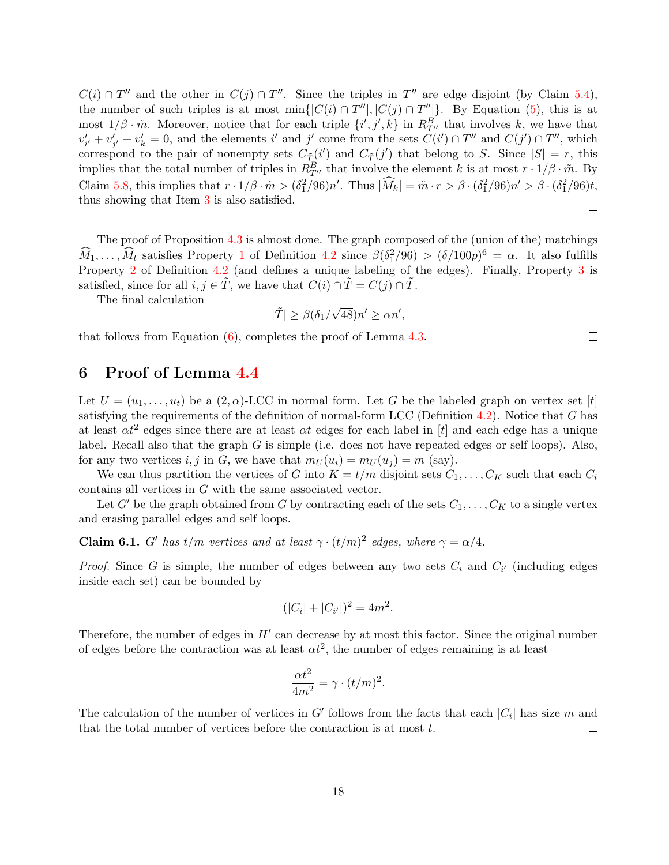$C(i) \cap T''$  and the other in  $C(j) \cap T''$ . Since the triples in T'' are edge disjoint (by Claim [5.4\)](#page-14-0), the number of such triples is at most min $\{ |C(i) \cap T''|, |C(j) \cap T''| \}$ . By Equation [\(5\)](#page-17-3), this is at most  $1/\beta \cdot \tilde{m}$ . Moreover, notice that for each triple  $\{i',j',k\}$  in  $R_{T}^B$  that involves k, we have that  $v'_{i'} + v'_{j'} + v'_{k} = 0$ , and the elements i' and j' come from the sets  $\bar{C}(i') \cap T''$  and  $C(j') \cap T''$ , which correspond to the pair of nonempty sets  $C_{\tilde{T}}(i')$  and  $C_{\tilde{T}}(j')$  that belong to S. Since  $|S| = r$ , this implies that the total number of triples in  $\tilde{R}_{T}^B$  that involve the element k is at most  $r \cdot 1/\beta \cdot \tilde{m}$ . By Claim [5.8,](#page-16-0) this implies that  $r \cdot 1/\beta \cdot \tilde{m} > (\delta_1^2/96)n'$ . Thus  $|\widehat{M}_k| = \tilde{m} \cdot r > \beta \cdot (\delta_1^2/96)n' > \beta \cdot (\delta_1^2/96)t$ , thus showing that Item [3](#page-17-2) is also satisfied.

 $\Box$ 

 $\Box$ 

The proof of Proposition [4.3](#page-10-0) is almost done. The graph composed of the (union of the) matchings  $\widehat{M}_1, \ldots, \widehat{M}_t$  $\widehat{M}_1, \ldots, \widehat{M}_t$  $\widehat{M}_1, \ldots, \widehat{M}_t$  satisfies Property 1 of Definition [4.2](#page-9-2) since  $\beta(\delta_1^2/96) > (\delta/100p)^6 = \alpha$ . It also fulfills Property [2](#page-9-4) of Definition [4.2](#page-9-2) (and defines a unique labeling of the edges). Finally, Property [3](#page-9-5) is satisfied, since for all  $i, j \in \tilde{T}$ , we have that  $C(i) \cap \tilde{T} = C(j) \cap \tilde{T}$ .

The final calculation

$$
|\tilde{T}| \ge \beta(\delta_1/\sqrt{48})n' \ge \alpha n',
$$

that follows from Equation  $(6)$ , completes the proof of Lemma [4.3.](#page-10-0)

## <span id="page-18-0"></span>6 Proof of Lemma [4.4](#page-10-1)

Let  $U = (u_1, \ldots, u_t)$  be a  $(2, \alpha)$ -LCC in normal form. Let G be the labeled graph on vertex set [t] satisfying the requirements of the definition of normal-form LCC (Definition  $4.2$ ). Notice that G has at least  $\alpha t^2$  edges since there are at least  $\alpha t$  edges for each label in [t] and each edge has a unique label. Recall also that the graph G is simple (i.e. does not have repeated edges or self loops). Also, for any two vertices i, j in G, we have that  $m_U(u_i) = m_U(u_i) = m$  (say).

We can thus partition the vertices of G into  $K = t/m$  disjoint sets  $C_1, \ldots, C_K$  such that each  $C_i$ contains all vertices in G with the same associated vector.

Let G' be the graph obtained from G by contracting each of the sets  $C_1, \ldots, C_K$  to a single vertex and erasing parallel edges and self loops.

<span id="page-18-1"></span>**Claim 6.1.** G' has t/m vertices and at least  $\gamma \cdot (t/m)^2$  edges, where  $\gamma = \alpha/4$ .

*Proof.* Since G is simple, the number of edges between any two sets  $C_i$  and  $C_{i'}$  (including edges inside each set) can be bounded by

$$
(|C_i| + |C_{i'}|)^2 = 4m^2.
$$

Therefore, the number of edges in  $H'$  can decrease by at most this factor. Since the original number of edges before the contraction was at least  $\alpha t^2$ , the number of edges remaining is at least

$$
\frac{\alpha t^2}{4m^2} = \gamma \cdot (t/m)^2.
$$

The calculation of the number of vertices in G' follows from the facts that each  $|C_i|$  has size m and that the total number of vertices before the contraction is at most  $t$ .  $\Box$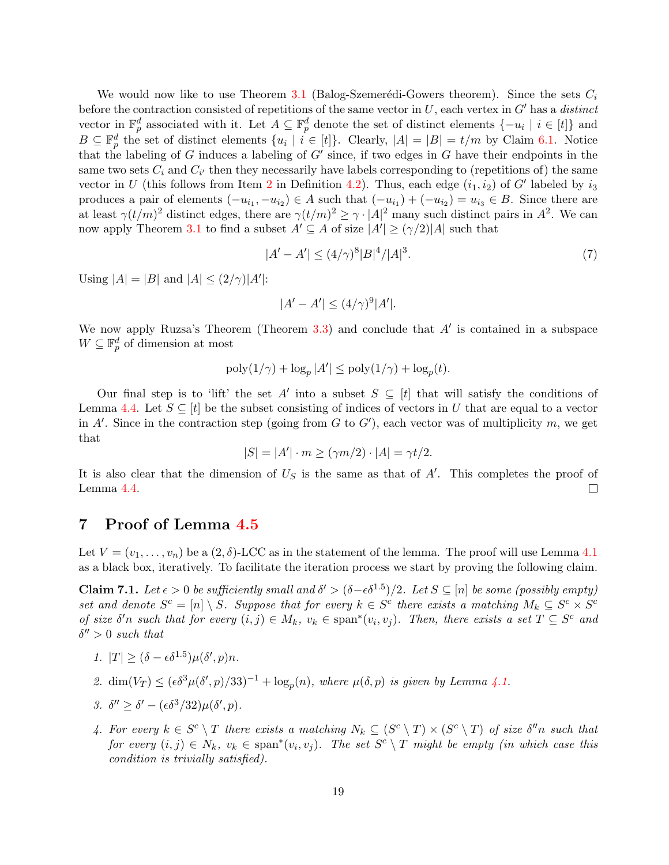We would now like to use Theorem [3.1](#page-8-1) (Balog-Szemerédi-Gowers theorem). Since the sets  $C_i$ before the contraction consisted of repetitions of the same vector in  $U$ , each vertex in  $G'$  has a distinct vector in  $\mathbb{F}_p^d$  associated with it. Let  $A \subseteq \mathbb{F}_p^d$  denote the set of distinct elements  $\{-u_i \mid i \in [t]\}$  and  $B \subseteq \mathbb{F}_p^d$  the set of distinct elements  $\{u_i \mid i \in [t]\}$ . Clearly,  $|A| = |B| = t/m$  by Claim [6.1.](#page-18-1) Notice that the labeling of G induces a labeling of  $G'$  since, if two edges in G have their endpoints in the same two sets  $C_i$  and  $C_{i'}$  then they necessarily have labels corresponding to (repetitions of) the same vector in U (this follows from Item [2](#page-9-4) in Definition [4.2\)](#page-9-2). Thus, each edge  $(i_1, i_2)$  of G' labeled by  $i_3$ produces a pair of elements  $(-u_{i_1}, -u_{i_2}) \in A$  such that  $(-u_{i_1}) + (-u_{i_2}) = u_{i_3} \in B$ . Since there are at least  $\gamma(t/m)^2$  distinct edges, there are  $\gamma(t/m)^2 \geq \gamma \cdot |A|^2$  many such distinct pairs in  $A^2$ . We can now apply Theorem [3.1](#page-8-1) to find a subset  $A' \subseteq A$  of size  $|A'| \geq (\gamma/2)|A|$  such that

$$
|A' - A'| \le (4/\gamma)^8 |B|^4 / |A|^3. \tag{7}
$$

Using  $|A| = |B|$  and  $|A| \leq (2/\gamma)|A'|$ :

$$
|A' - A'| \le (4/\gamma)^9 |A'|.
$$

We now apply Ruzsa's Theorem (Theorem  $3.3$ ) and conclude that  $A'$  is contained in a subspace  $W \subseteq \mathbb{F}_p^d$  of dimension at most

$$
poly(1/\gamma) + \log_p |A'| \leq poly(1/\gamma) + \log_p(t).
$$

Our final step is to 'lift' the set A' into a subset  $S \subseteq [t]$  that will satisfy the conditions of Lemma [4.4.](#page-10-1) Let  $S \subseteq [t]$  be the subset consisting of indices of vectors in U that are equal to a vector in A'. Since in the contraction step (going from  $G$  to  $G'$ ), each vector was of multiplicity  $m$ , we get that

$$
|S| = |A'| \cdot m \ge (\gamma m/2) \cdot |A| = \gamma t/2.
$$

It is also clear that the dimension of  $U<sub>S</sub>$  is the same as that of A'. This completes the proof of Lemma [4.4.](#page-10-1)  $\Box$ 

### <span id="page-19-0"></span>7 Proof of Lemma [4.5](#page-10-2)

Let  $V = (v_1, \ldots, v_n)$  be a  $(2, \delta)$ -LCC as in the statement of the lemma. The proof will use Lemma [4.1](#page-9-1) as a black box, iteratively. To facilitate the iteration process we start by proving the following claim.

<span id="page-19-1"></span>**Claim 7.1.** Let  $\epsilon > 0$  be sufficiently small and  $\delta' > (\delta - \epsilon \delta^{1.5})/2$ . Let  $S \subseteq [n]$  be some (possibly empty) set and denote  $S^c = [n] \setminus S$ . Suppose that for every  $k \in S^c$  there exists a matching  $M_k \subseteq S^c \times S^c$ of size  $\delta'$ n such that for every  $(i, j) \in M_k$ ,  $v_k \in \text{span}^*(v_i, v_j)$ . Then, there exists a set  $T \subseteq S^c$  and  $\delta'' > 0$  such that

- <span id="page-19-4"></span>1.  $|T| \geq (\delta - \epsilon \delta^{1.5}) \mu(\delta', p) n$ .
- <span id="page-19-5"></span>2.  $\dim(V_T) \leq (\epsilon \delta^3 \mu(\delta', p)/33)^{-1} + \log_p(n)$ , where  $\mu(\delta, p)$  is given by Lemma [4.1.](#page-9-1)

<span id="page-19-3"></span>3. 
$$
\delta'' \ge \delta' - (\epsilon \delta^3/32)\mu(\delta', p).
$$

<span id="page-19-2"></span>4. For every  $k \in S^c \setminus T$  there exists a matching  $N_k \subseteq (S^c \setminus T) \times (S^c \setminus T)$  of size  $\delta''$ n such that for every  $(i, j) \in N_k$ ,  $v_k \in \text{span}^*(v_i, v_j)$ . The set  $S^c \setminus T$  might be empty (in which case this condition is trivially satisfied).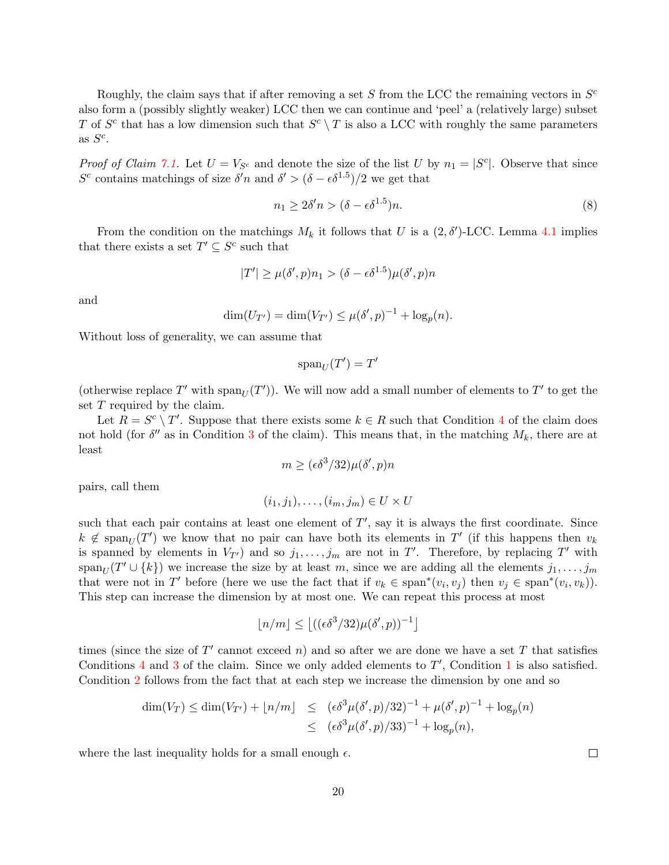Roughly, the claim says that if after removing a set  $S$  from the LCC the remaining vectors in  $S^c$ also form a (possibly slightly weaker) LCC then we can continue and 'peel' a (relatively large) subset T of  $S^c$  that has a low dimension such that  $S^c \setminus T$  is also a LCC with roughly the same parameters as  $S^c$ .

*Proof of Claim [7.1.](#page-19-1)* Let  $U = V_{S^c}$  and denote the size of the list U by  $n_1 = |S^c|$ . Observe that since S<sup>c</sup> contains matchings of size  $\delta' n$  and  $\delta' > (\delta - \epsilon \delta^{1.5})/2$  we get that

$$
n_1 \ge 2\delta' n > (\delta - \epsilon \delta^{1.5})n. \tag{8}
$$

From the condition on the matchings  $M_k$  it follows that U is a  $(2, \delta')$ -LCC. Lemma [4.1](#page-9-1) implies that there exists a set  $T' \subseteq S^c$  such that

$$
|T'| \ge \mu(\delta', p)n_1 > (\delta - \epsilon \delta^{1.5})\mu(\delta', p)n
$$

and

$$
\dim(U_{T'}) = \dim(V_{T'}) \le \mu(\delta', p)^{-1} + \log_p(n).
$$

Without loss of generality, we can assume that

$$
\operatorname{span}_U(T')=T'
$$

(otherwise replace T' with  $\text{span}_U(T')$ ). We will now add a small number of elements to T' to get the set T required by the claim.

Let  $R = S^c \setminus T'$ . Suppose that there exists some  $k \in R$  such that Condition [4](#page-19-2) of the claim does not hold (for  $\delta''$  as in Condition [3](#page-19-3) of the claim). This means that, in the matching  $M_k$ , there are at least

$$
m \geq (\epsilon \delta^3/32) \mu(\delta',p) n
$$

pairs, call them

$$
(i_1, j_1), \ldots, (i_m, j_m) \in U \times U
$$

such that each pair contains at least one element of  $T'$ , say it is always the first coordinate. Since  $k \notin \text{span}_U(T')$  we know that no pair can have both its elements in T' (if this happens then  $v_k$ is spanned by elements in  $V_{T}$ ) and so  $j_1, \ldots, j_m$  are not in T'. Therefore, by replacing T' with  $\text{span}_U(T' \cup \{k\})$  we increase the size by at least m, since we are adding all the elements  $j_1, \ldots, j_m$ that were not in T' before (here we use the fact that if  $v_k \in \text{span}^*(v_i, v_j)$  then  $v_j \in \text{span}^*(v_i, v_k)$ ). This step can increase the dimension by at most one. We can repeat this process at most

$$
\lfloor n/m \rfloor \le \left\lfloor ((\epsilon \delta^3/32)\mu(\delta', p))^{-1} \right\rfloor
$$

times (since the size of  $T'$  cannot exceed n) and so after we are done we have a set T that satisfies Conditions  $4$  and  $3$  of the claim. Since we only added elements to  $T'$ , Condition [1](#page-19-4) is also satisfied. Condition [2](#page-19-5) follows from the fact that at each step we increase the dimension by one and so

$$
\dim(V_T) \le \dim(V_{T'}) + \lfloor n/m \rfloor \le (\epsilon \delta^3 \mu(\delta', p)/32)^{-1} + \mu(\delta', p)^{-1} + \log_p(n) \le (\epsilon \delta^3 \mu(\delta', p)/33)^{-1} + \log_p(n),
$$

where the last inequality holds for a small enough  $\epsilon$ .

 $\Box$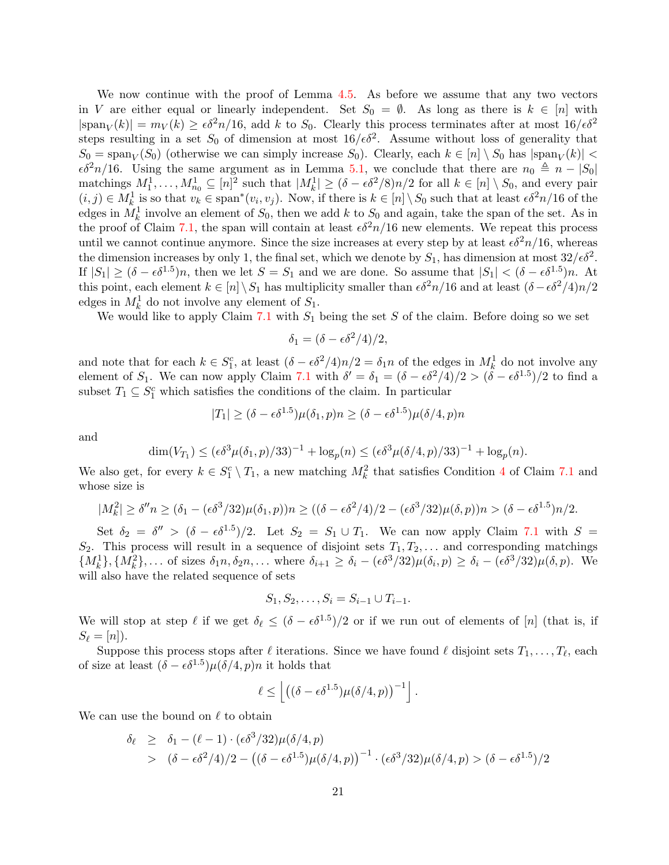We now continue with the proof of Lemma [4.5.](#page-10-2) As before we assume that any two vectors in V are either equal or linearly independent. Set  $S_0 = \emptyset$ . As long as there is  $k \in [n]$  with  $|\text{span}_V(k)| = m_V(k) \ge \epsilon \delta^2 n/16$ , add k to  $S_0$ . Clearly this process terminates after at most  $16/\epsilon \delta^2$ steps resulting in a set  $S_0$  of dimension at most  $16/\epsilon\delta^2$ . Assume without loss of generality that  $S_0 = \text{span}_V(S_0)$  (otherwise we can simply increase  $S_0$ ). Clearly, each  $k \in [n] \setminus S_0$  has  $|\text{span}_V(k)| <$  $\epsilon \delta^2 n/16$ . Using the same argument as in Lemma [5.1,](#page-11-1) we conclude that there are  $n_0 \triangleq n - |S_0|$ matchings  $M_1^1, \ldots, M_{n_0}^1 \subseteq [n]^2$  such that  $|M_k^1| \ge (\delta - \epsilon \delta^2/8)n/2$  for all  $k \in [n] \setminus S_0$ , and every pair  $(i, j) \in M_k^1$  is so that  $v_k \in \text{span}^*(v_i, v_j)$ . Now, if there is  $k \in [n] \setminus S_0$  such that at least  $\epsilon \delta^2 n/16$  of the edges in  $M_k^1$  involve an element of  $S_0$ , then we add k to  $S_0$  and again, take the span of the set. As in the proof of Claim [7.1,](#page-19-1) the span will contain at least  $\epsilon \delta^2 n/16$  new elements. We repeat this process until we cannot continue anymore. Since the size increases at every step by at least  $\epsilon \delta^2 n/16$ , whereas the dimension increases by only 1, the final set, which we denote by  $S_1$ , has dimension at most  $32/\epsilon \delta^2$ . If  $|S_1| \ge (\delta - \epsilon \delta^{1.5})n$ , then we let  $S = S_1$  and we are done. So assume that  $|S_1| < (\delta - \epsilon \delta^{1.5})n$ . At this point, each element  $k \in [n] \setminus S_1$  has multiplicity smaller than  $\epsilon \delta^2 n/16$  and at least  $(\delta - \epsilon \delta^2/4)n/2$ edges in  $M_k^1$  do not involve any element of  $S_1$ .

We would like to apply Claim [7.1](#page-19-1) with  $S_1$  being the set S of the claim. Before doing so we set

$$
\delta_1 = (\delta - \epsilon \delta^2/4)/2,
$$

and note that for each  $k \in S_1^c$ , at least  $(\delta - \epsilon \delta^2/4)n/2 = \delta_1 n$  of the edges in  $M_k^1$  do not involve any element of  $S_1$ . We can now apply Claim [7.1](#page-19-1) with  $\delta' = \delta_1 = (\delta - \epsilon \delta^2/4)/2 > (\delta - \epsilon \delta^{1.5})/2$  to find a subset  $T_1 \subseteq S_1^c$  which satisfies the conditions of the claim. In particular

$$
|T_1| \ge (\delta - \epsilon \delta^{1.5}) \mu(\delta_1, p) n \ge (\delta - \epsilon \delta^{1.5}) \mu(\delta/4, p) n
$$

and

$$
\dim(V_{T_1}) \leq (\epsilon \delta^3 \mu(\delta_1, p)/33)^{-1} + \log_p(n) \leq (\epsilon \delta^3 \mu(\delta/4, p)/33)^{-1} + \log_p(n).
$$

We also get, for every  $k \in S_1^c \setminus T_1$ , a new matching  $M_k^2$  that satisfies Condition [4](#page-19-2) of Claim [7.1](#page-19-1) and whose size is

$$
|M_k^2| \ge \delta'' n \ge (\delta_1 - (\epsilon \delta^3 / 32) \mu(\delta_1, p)) n \ge ((\delta - \epsilon \delta^2 / 4) / 2 - (\epsilon \delta^3 / 32) \mu(\delta, p)) n > (\delta - \epsilon \delta^{1.5}) n / 2.
$$

Set  $\delta_2 = \delta'' > (\delta - \epsilon \delta^{1.5})/2$ . Let  $S_2 = S_1 \cup T_1$ . We can now apply Claim [7.1](#page-19-1) with  $S =$  $S_2$ . This process will result in a sequence of disjoint sets  $T_1, T_2, \ldots$  and corresponding matchings  ${M_k^1}, {M_k^2}, \dots$  of sizes  $\delta_1 n, \delta_2 n, \dots$  where  $\delta_{i+1} \geq \delta_i - (\epsilon \delta^3/32) \mu(\delta_i, p) \geq \delta_i - (\epsilon \delta^3/32) \mu(\delta, p)$ . We will also have the related sequence of sets

$$
S_1, S_2, \ldots, S_i = S_{i-1} \cup T_{i-1}.
$$

We will stop at step  $\ell$  if we get  $\delta_{\ell} \leq (\delta - \epsilon \delta^{1.5})/2$  or if we run out of elements of [n] (that is, if  $S_\ell = [n]$ .

Suppose this process stops after  $\ell$  iterations. Since we have found  $\ell$  disjoint sets  $T_1, \ldots, T_\ell$ , each of size at least  $(\delta - \epsilon \delta^{1.5}) \mu(\delta/4, p) n$  it holds that

$$
\ell \leq \left[ \left( (\delta - \epsilon \delta^{1.5}) \mu(\delta/4, p) \right)^{-1} \right].
$$

We can use the bound on  $\ell$  to obtain

$$
\delta_{\ell} \geq \delta_1 - (\ell - 1) \cdot (\epsilon \delta^3 / 32) \mu (\delta / 4, p) \n> (\delta - \epsilon \delta^2 / 4) / 2 - ((\delta - \epsilon \delta^{1.5}) \mu (\delta / 4, p))^{-1} \cdot (\epsilon \delta^3 / 32) \mu (\delta / 4, p) > (\delta - \epsilon \delta^{1.5}) / 2
$$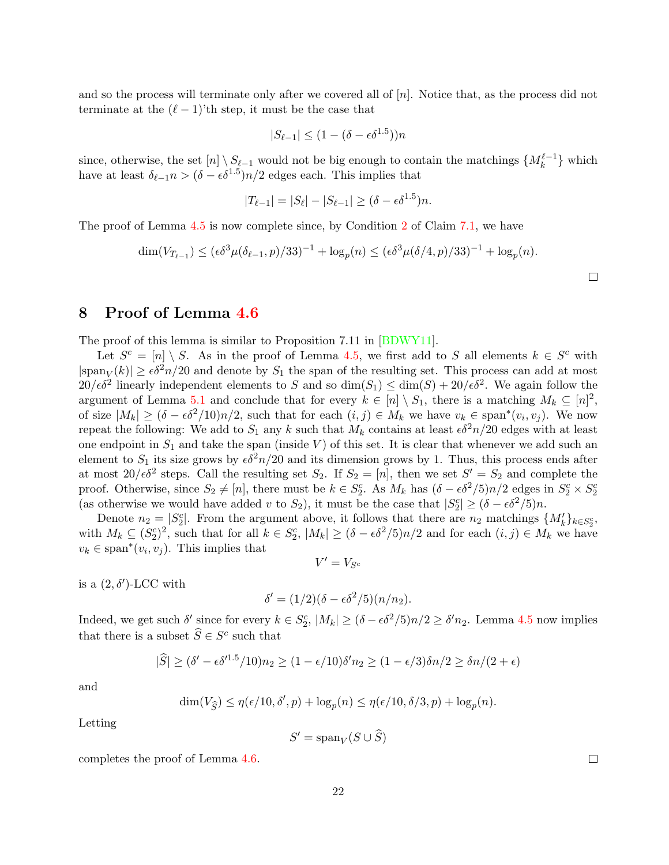and so the process will terminate only after we covered all of  $[n]$ . Notice that, as the process did not terminate at the  $(\ell - 1)$ 'th step, it must be the case that

$$
|S_{\ell-1}| \le (1 - (\delta - \epsilon \delta^{1.5}))n
$$

since, otherwise, the set  $[n] \setminus S_{\ell-1}$  would not be big enough to contain the matchings  $\{M_k^{\ell-1}\}\$  which have at least  $\delta_{\ell-1} n > (\delta - \epsilon \delta^{1.5}) n/2$  edges each. This implies that

$$
|T_{\ell-1}| = |S_{\ell}| - |S_{\ell-1}| \ge (\delta - \epsilon \delta^{1.5})n.
$$

The proof of Lemma [4.5](#page-10-2) is now complete since, by Condition [2](#page-19-5) of Claim [7.1,](#page-19-1) we have

$$
\dim(V_{T_{\ell-1}}) \le (\epsilon \delta^3 \mu(\delta_{\ell-1}, p)/33)^{-1} + \log_p(n) \le (\epsilon \delta^3 \mu(\delta/4, p)/33)^{-1} + \log_p(n).
$$

## <span id="page-22-0"></span>8 Proof of Lemma [4.6](#page-10-3)

The proof of this lemma is similar to Proposition 7.11 in [\[BDWY11\]](#page--1-6).

Let  $S^c = [n] \setminus S$ . As in the proof of Lemma [4.5,](#page-10-2) we first add to S all elements  $k \in S^c$  with  $|\text{span}_V(k)| \ge \epsilon \delta^2 n/20$  and denote by  $S_1$  the span of the resulting set. This process can add at most  $20/\epsilon\delta^2$  linearly independent elements to S and so  $\dim(S_1) \leq \dim(S) + 20/\epsilon\delta^2$ . We again follow the argument of Lemma [5.1](#page-11-1) and conclude that for every  $k \in [n] \setminus S_1$ , there is a matching  $M_k \subseteq [n]^2$ , of size  $|M_k| \ge (\delta - \epsilon \delta^2/10)n/2$ , such that for each  $(i, j) \in M_k$  we have  $v_k \in \text{span}^*(v_i, v_j)$ . We now repeat the following: We add to  $S_1$  any k such that  $M_k$  contains at least  $\epsilon \delta^2 n/20$  edges with at least one endpoint in  $S_1$  and take the span (inside V) of this set. It is clear that whenever we add such an element to  $S_1$  its size grows by  $\epsilon \delta^2 n/20$  and its dimension grows by 1. Thus, this process ends after at most  $20/\epsilon \delta^2$  steps. Call the resulting set  $S_2$ . If  $S_2 = [n]$ , then we set  $S' = S_2$  and complete the proof. Otherwise, since  $S_2 \neq [n]$ , there must be  $k \in S_2^c$ . As  $M_k$  has  $(\delta - \epsilon \delta^2/5)n/2$  edges in  $S_2^c \times S_2^c$ (as otherwise we would have added v to  $S_2$ ), it must be the case that  $|S_2^c| \ge (\delta - \epsilon \delta^2/5)n$ .

Denote  $n_2 = |S_2^c|$ . From the argument above, it follows that there are  $n_2$  matchings  $\{M'_k\}_{k\in S_2^c}$ , with  $M_k \subseteq (S_2^c)^2$ , such that for all  $k \in S_2^c$ ,  $|M_k| \ge (\delta - \epsilon \delta^2/5)n/2$  and for each  $(i, j) \in M_k$  we have  $v_k \in \text{span}^*(v_i, v_j)$ . This implies that

$$
V'=V_{S^c}
$$

is a  $(2,\delta')$ -LCC with

$$
\delta' = (1/2)(\delta - \epsilon \delta^2/5)(n/n_2).
$$

Indeed, we get such  $\delta'$  since for every  $k \in S_2^c$ ,  $|M_k| \ge (\delta - \epsilon \delta^2/5)n/2 \ge \delta' n_2$ . Lemma [4.5](#page-10-2) now implies that there is a subset  $\widehat{S} \in S^c$  such that

$$
|\widehat{S}| \ge (\delta' - \epsilon \delta'^{1.5}/10)n_2 \ge (1 - \epsilon/10)\delta'n_2 \ge (1 - \epsilon/3)\delta n/2 \ge \delta n/(2 + \epsilon)
$$

and

$$
\dim(V_{\widehat{S}}) \le \eta(\epsilon/10, \delta', p) + \log_p(n) \le \eta(\epsilon/10, \delta/3, p) + \log_p(n).
$$

Letting

$$
S' = \mathrm{span}_V(S \cup \widehat{S})
$$

completes the proof of Lemma [4.6.](#page-10-3)

 $\Box$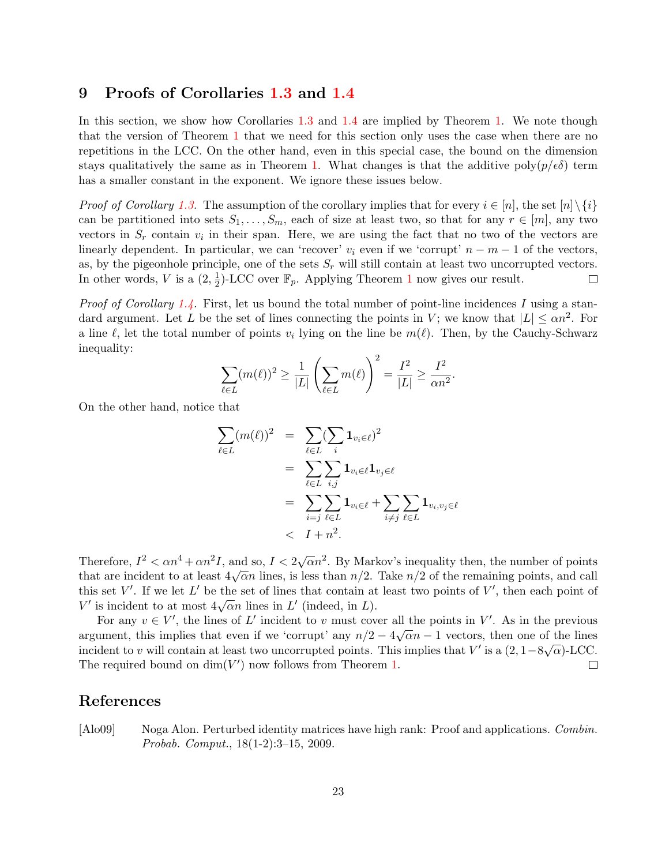### <span id="page-23-0"></span>9 Proofs of Corollaries [1.3](#page-3-0) and [1.4](#page-4-0)

In this section, we show how Corollaries [1.3](#page-3-0) and [1.4](#page-4-0) are implied by Theorem [1.](#page-2-2) We note though that the version of Theorem [1](#page-2-2) that we need for this section only uses the case when there are no repetitions in the LCC. On the other hand, even in this special case, the bound on the dimension stays qualitatively the same as in Theorem [1.](#page-2-2) What changes is that the additive poly $(p/\epsilon \delta)$  term has a smaller constant in the exponent. We ignore these issues below.

*Proof of Corollary [1.3.](#page-3-0)* The assumption of the corollary implies that for every  $i \in [n]$ , the set  $[n] \setminus \{i\}$ can be partitioned into sets  $S_1, \ldots, S_m$ , each of size at least two, so that for any  $r \in [m]$ , any two vectors in  $S_r$  contain  $v_i$  in their span. Here, we are using the fact that no two of the vectors are linearly dependent. In particular, we can 'recover'  $v_i$  even if we 'corrupt'  $n - m - 1$  of the vectors, as, by the pigeonhole principle, one of the sets  $S_r$  will still contain at least two uncorrupted vectors.  $\frac{1}{2}$  $\frac{1}{2}$  $\frac{1}{2}$ )-LCC over  $\mathbb{F}_p$ . Applying Theorem 1 now gives our result. In other words, V is a  $(2, \frac{1}{2})$  $\Box$ 

*Proof of Corollary [1.4.](#page-4-0)* First, let us bound the total number of point-line incidences I using a standard argument. Let L be the set of lines connecting the points in V; we know that  $|L| \leq \alpha n^2$ . For a line  $\ell$ , let the total number of points  $v_i$  lying on the line be  $m(\ell)$ . Then, by the Cauchy-Schwarz inequality:

$$
\sum_{\ell \in L} (m(\ell))^2 \ge \frac{1}{|L|} \left( \sum_{\ell \in L} m(\ell) \right)^2 = \frac{I^2}{|L|} \ge \frac{I^2}{\alpha n^2}.
$$

On the other hand, notice that

$$
\sum_{\ell \in L} (m(\ell))^2 = \sum_{\ell \in L} (\sum_i \mathbf{1}_{v_i \in \ell})^2
$$
  
= 
$$
\sum_{\ell \in L} \sum_{i,j} \mathbf{1}_{v_i \in \ell} \mathbf{1}_{v_j \in \ell}
$$
  
= 
$$
\sum_{i=j} \sum_{\ell \in L} \mathbf{1}_{v_i \in \ell} + \sum_{i \neq j} \sum_{\ell \in L} \mathbf{1}_{v_i, v_j \in \ell}
$$
  

$$
< I + n^2.
$$

Therefore,  $I^2 < \alpha n^4 + \alpha n^2 I$ , and so,  $I < 2\sqrt{\alpha} n^2$ . By Markov's inequality then, the number of points that are incident to at least  $4\sqrt{\alpha}n$  lines, is less than  $n/2$ . Take  $n/2$  of the remaining points, and call this set  $V'$ . If we let  $L'$  be the set of lines that contain at least two points of  $V'$ , then each point of U' is incident to at most  $4\sqrt{\alpha}n$  lines in L' (indeed, in L).

For any  $v \in V'$ , the lines of L' incident to v must cover all the points in V'. As in the previous argument, this implies that even if we 'corrupt' any  $n/2 - 4\sqrt{\alpha}n - 1$  vectors, then one of the lines incident to v will contain at least two uncorrupted points. This implies that V' is a  $(2, 1-8\sqrt{\alpha})$ -LCC. The required bound on  $\dim(V')$  now follows from Theorem [1.](#page-2-2)  $\Box$ 

### References

<span id="page-23-1"></span>[Alo09] Noga Alon. Perturbed identity matrices have high rank: Proof and applications. *Combin.* Probab. Comput., 18(1-2):3–15, 2009.